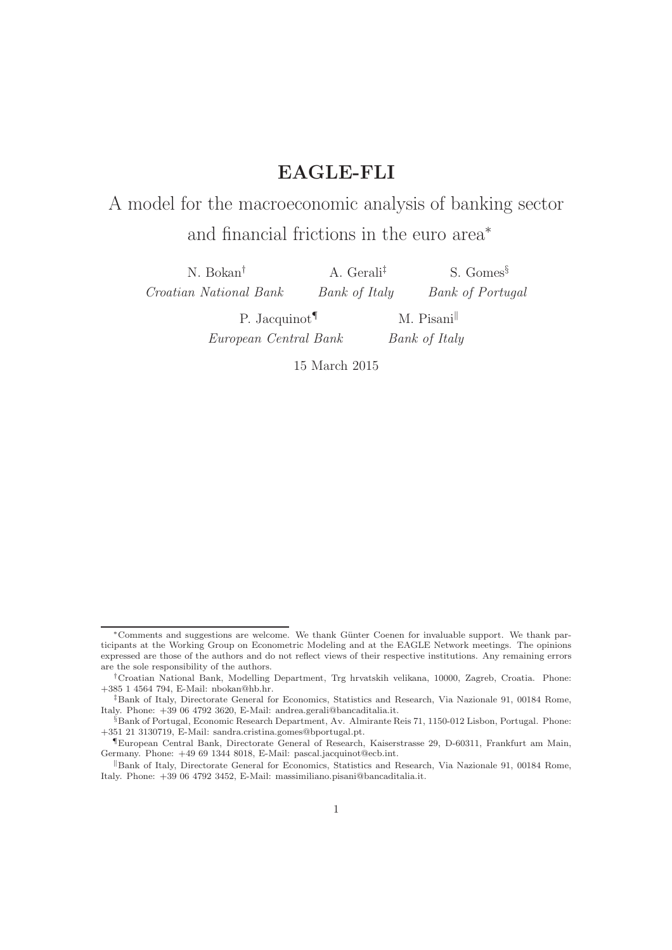## EAGLE-FLI

# A model for the macroeconomic analysis of banking sector and financial frictions in the euro area<sup>∗</sup>

N. Bokan† Croatian National Bank A. Gerali‡ Bank of Italy S. Gomes§ Bank of Portugal P. Jacquinot¶ European Central Bank  $M.$  Pisani Bank of Italy

15 March 2015

<sup>∗</sup>Comments and suggestions are welcome. We thank G¨unter Coenen for invaluable support. We thank participants at the Working Group on Econometric Modeling and at the EAGLE Network meetings. The opinions expressed are those of the authors and do not reflect views of their respective institutions. Any remaining errors are the sole responsibility of the authors.

<sup>†</sup>Croatian National Bank, Modelling Department, Trg hrvatskih velikana, 10000, Zagreb, Croatia. Phone: +385 1 4564 794, E-Mail: nbokan@hb.hr.

<sup>‡</sup>Bank of Italy, Directorate General for Economics, Statistics and Research, Via Nazionale 91, 00184 Rome, Italy. Phone: +39 06 4792 3620, E-Mail: andrea.gerali@bancaditalia.it.

<sup>§</sup>Bank of Portugal, Economic Research Department, Av. Almirante Reis 71, 1150-012 Lisbon, Portugal. Phone: +351 21 3130719, E-Mail: sandra.cristina.gomes@bportugal.pt.

<sup>¶</sup>European Central Bank, Directorate General of Research, Kaiserstrasse 29, D-60311, Frankfurt am Main, Germany. Phone: +49 69 1344 8018, E-Mail: pascal.jacquinot@ecb.int.

Bank of Italy, Directorate General for Economics, Statistics and Research, Via Nazionale 91, 00184 Rome, Italy. Phone: +39 06 4792 3452, E-Mail: massimiliano.pisani@bancaditalia.it.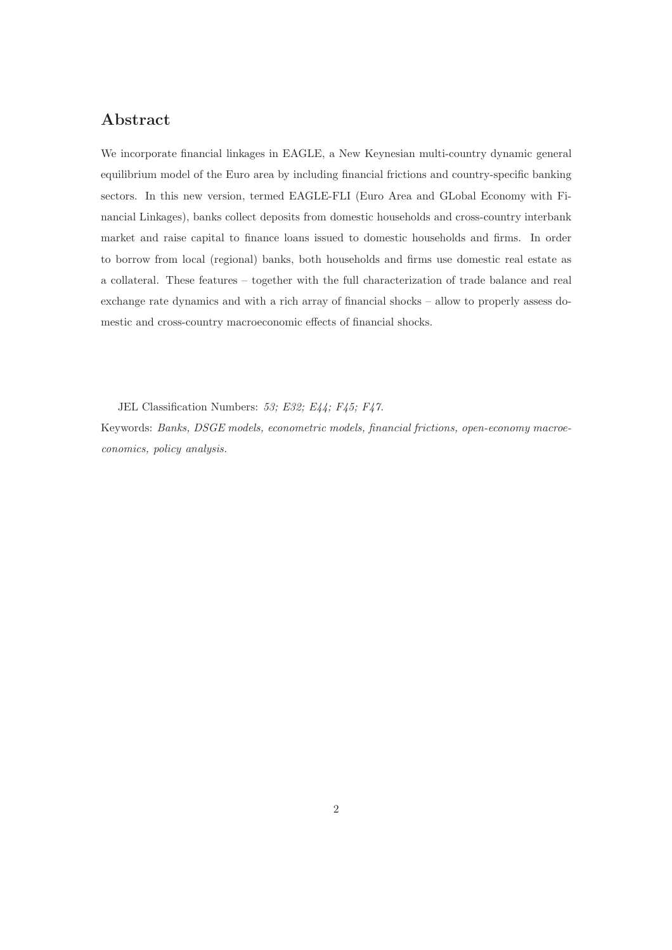## Abstract

We incorporate financial linkages in EAGLE, a New Keynesian multi-country dynamic general equilibrium model of the Euro area by including financial frictions and country-specific banking sectors. In this new version, termed EAGLE-FLI (Euro Area and GLobal Economy with Financial Linkages), banks collect deposits from domestic households and cross-country interbank market and raise capital to finance loans issued to domestic households and firms. In order to borrow from local (regional) banks, both households and firms use domestic real estate as a collateral. These features – together with the full characterization of trade balance and real exchange rate dynamics and with a rich array of financial shocks – allow to properly assess domestic and cross-country macroeconomic effects of financial shocks.

JEL Classification Numbers: 53; E32; E44; F45; F47.

Keywords: Banks, DSGE models, econometric models, financial frictions, open-economy macroeconomics, policy analysis.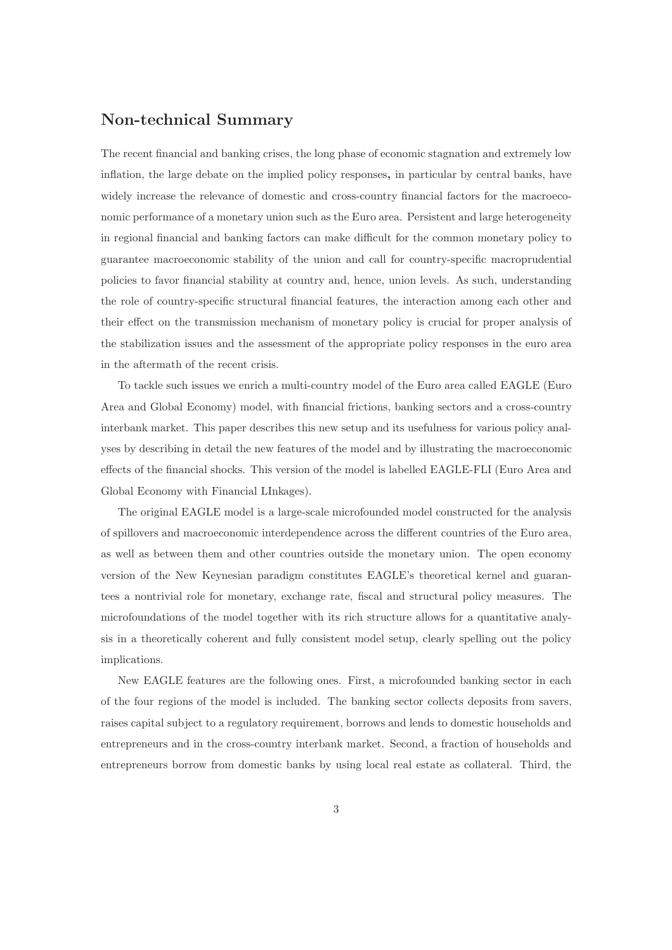## Non-technical Summary

The recent financial and banking crises, the long phase of economic stagnation and extremely low inflation, the large debate on the implied policy responses, in particular by central banks, have widely increase the relevance of domestic and cross-country financial factors for the macroeconomic performance of a monetary union such as the Euro area. Persistent and large heterogeneity in regional financial and banking factors can make difficult for the common monetary policy to guarantee macroeconomic stability of the union and call for country-specific macroprudential policies to favor financial stability at country and, hence, union levels. As such, understanding the role of country-specific structural financial features, the interaction among each other and their effect on the transmission mechanism of monetary policy is crucial for proper analysis of the stabilization issues and the assessment of the appropriate policy responses in the euro area in the aftermath of the recent crisis.

To tackle such issues we enrich a multi-country model of the Euro area called EAGLE (Euro Area and Global Economy) model, with financial frictions, banking sectors and a cross-country interbank market. This paper describes this new setup and its usefulness for various policy analyses by describing in detail the new features of the model and by illustrating the macroeconomic effects of the financial shocks. This version of the model is labelled EAGLE-FLI (Euro Area and Global Economy with Financial LInkages).

The original EAGLE model is a large-scale microfounded model constructed for the analysis of spillovers and macroeconomic interdependence across the different countries of the Euro area, as well as between them and other countries outside the monetary union. The open economy version of the New Keynesian paradigm constitutes EAGLE's theoretical kernel and guarantees a nontrivial role for monetary, exchange rate, fiscal and structural policy measures. The microfoundations of the model together with its rich structure allows for a quantitative analysis in a theoretically coherent and fully consistent model setup, clearly spelling out the policy implications.

New EAGLE features are the following ones. First, a microfounded banking sector in each of the four regions of the model is included. The banking sector collects deposits from savers, raises capital subject to a regulatory requirement, borrows and lends to domestic households and entrepreneurs and in the cross-country interbank market. Second, a fraction of households and entrepreneurs borrow from domestic banks by using local real estate as collateral. Third, the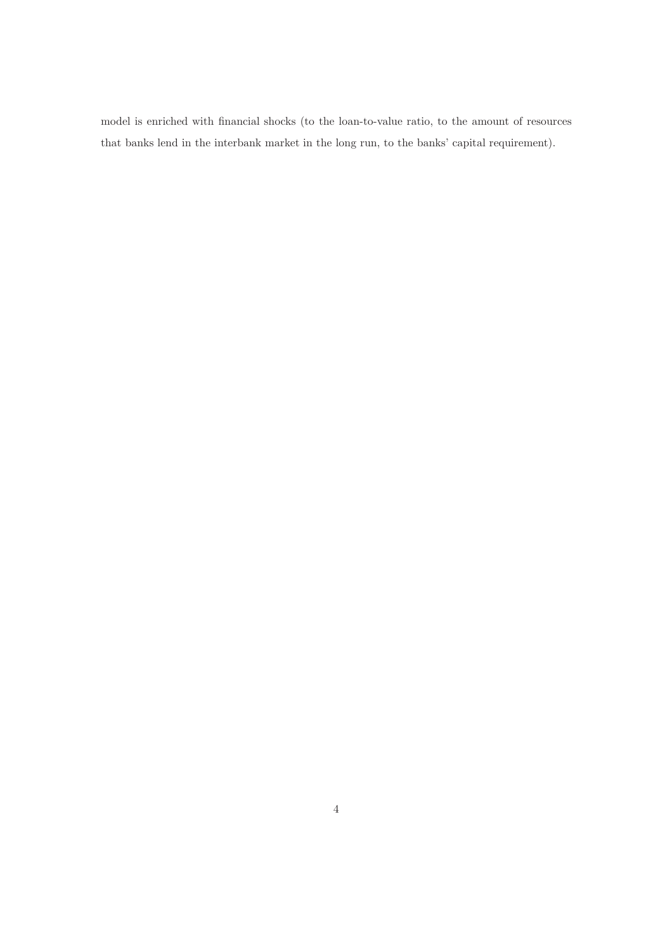model is enriched with financial shocks (to the loan-to-value ratio, to the amount of resources that banks lend in the interbank market in the long run, to the banks' capital requirement).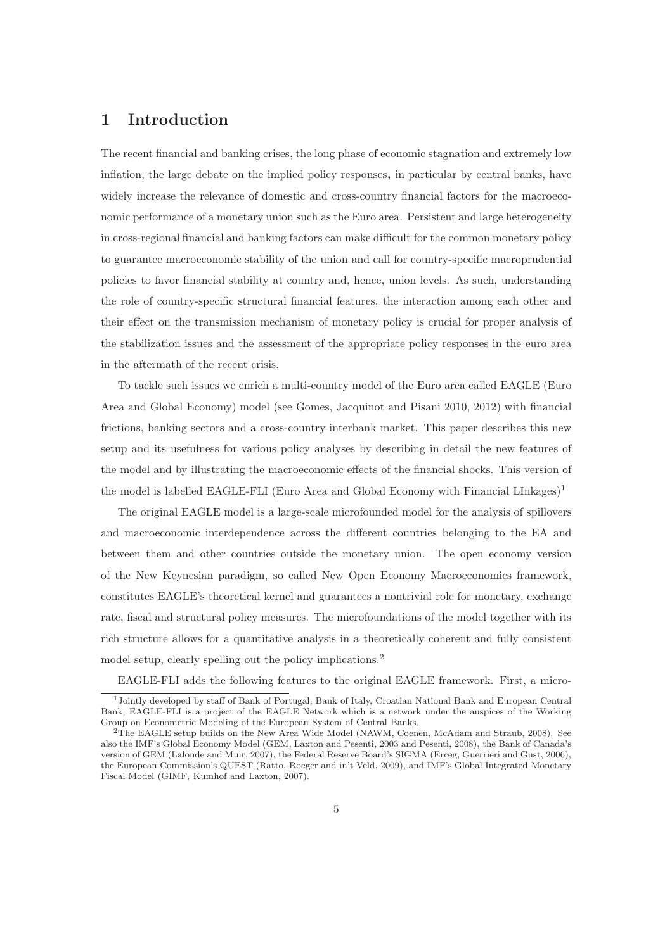## 1 Introduction

The recent financial and banking crises, the long phase of economic stagnation and extremely low inflation, the large debate on the implied policy responses, in particular by central banks, have widely increase the relevance of domestic and cross-country financial factors for the macroeconomic performance of a monetary union such as the Euro area. Persistent and large heterogeneity in cross-regional financial and banking factors can make difficult for the common monetary policy to guarantee macroeconomic stability of the union and call for country-specific macroprudential policies to favor financial stability at country and, hence, union levels. As such, understanding the role of country-specific structural financial features, the interaction among each other and their effect on the transmission mechanism of monetary policy is crucial for proper analysis of the stabilization issues and the assessment of the appropriate policy responses in the euro area in the aftermath of the recent crisis.

To tackle such issues we enrich a multi-country model of the Euro area called EAGLE (Euro Area and Global Economy) model (see Gomes, Jacquinot and Pisani 2010, 2012) with financial frictions, banking sectors and a cross-country interbank market. This paper describes this new setup and its usefulness for various policy analyses by describing in detail the new features of the model and by illustrating the macroeconomic effects of the financial shocks. This version of the model is labelled EAGLE-FLI (Euro Area and Global Economy with Financial LInkages)<sup>1</sup>

The original EAGLE model is a large-scale microfounded model for the analysis of spillovers and macroeconomic interdependence across the different countries belonging to the EA and between them and other countries outside the monetary union. The open economy version of the New Keynesian paradigm, so called New Open Economy Macroeconomics framework, constitutes EAGLE's theoretical kernel and guarantees a nontrivial role for monetary, exchange rate, fiscal and structural policy measures. The microfoundations of the model together with its rich structure allows for a quantitative analysis in a theoretically coherent and fully consistent model setup, clearly spelling out the policy implications.<sup>2</sup>

EAGLE-FLI adds the following features to the original EAGLE framework. First, a micro-

<sup>1</sup>Jointly developed by staff of Bank of Portugal, Bank of Italy, Croatian National Bank and European Central Bank, EAGLE-FLI is a project of the EAGLE Network which is a network under the auspices of the Working Group on Econometric Modeling of the European System of Central Banks.

<sup>2</sup>The EAGLE setup builds on the New Area Wide Model (NAWM, Coenen, McAdam and Straub, 2008). See also the IMF's Global Economy Model (GEM, Laxton and Pesenti, 2003 and Pesenti, 2008), the Bank of Canada's version of GEM (Lalonde and Muir, 2007), the Federal Reserve Board's SIGMA (Erceg, Guerrieri and Gust, 2006), the European Commission's QUEST (Ratto, Roeger and in't Veld, 2009), and IMF's Global Integrated Monetary Fiscal Model (GIMF, Kumhof and Laxton, 2007).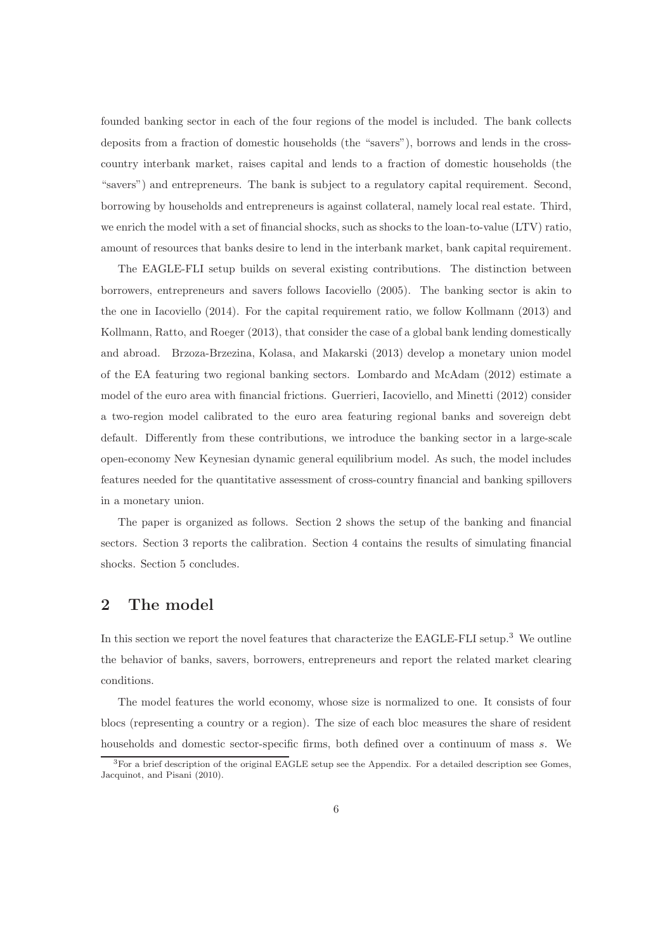founded banking sector in each of the four regions of the model is included. The bank collects deposits from a fraction of domestic households (the "savers"), borrows and lends in the crosscountry interbank market, raises capital and lends to a fraction of domestic households (the "savers") and entrepreneurs. The bank is subject to a regulatory capital requirement. Second, borrowing by households and entrepreneurs is against collateral, namely local real estate. Third, we enrich the model with a set of financial shocks, such as shocks to the loan-to-value (LTV) ratio, amount of resources that banks desire to lend in the interbank market, bank capital requirement.

The EAGLE-FLI setup builds on several existing contributions. The distinction between borrowers, entrepreneurs and savers follows Iacoviello (2005). The banking sector is akin to the one in Iacoviello (2014). For the capital requirement ratio, we follow Kollmann (2013) and Kollmann, Ratto, and Roeger (2013), that consider the case of a global bank lending domestically and abroad. Brzoza-Brzezina, Kolasa, and Makarski (2013) develop a monetary union model of the EA featuring two regional banking sectors. Lombardo and McAdam (2012) estimate a model of the euro area with financial frictions. Guerrieri, Iacoviello, and Minetti (2012) consider a two-region model calibrated to the euro area featuring regional banks and sovereign debt default. Differently from these contributions, we introduce the banking sector in a large-scale open-economy New Keynesian dynamic general equilibrium model. As such, the model includes features needed for the quantitative assessment of cross-country financial and banking spillovers in a monetary union.

The paper is organized as follows. Section 2 shows the setup of the banking and financial sectors. Section 3 reports the calibration. Section 4 contains the results of simulating financial shocks. Section 5 concludes.

## 2 The model

In this section we report the novel features that characterize the EAGLE-FLI setup.<sup>3</sup> We outline the behavior of banks, savers, borrowers, entrepreneurs and report the related market clearing conditions.

The model features the world economy, whose size is normalized to one. It consists of four blocs (representing a country or a region). The size of each bloc measures the share of resident households and domestic sector-specific firms, both defined over a continuum of mass s. We

<sup>3</sup>For a brief description of the original EAGLE setup see the Appendix. For a detailed description see Gomes, Jacquinot, and Pisani (2010).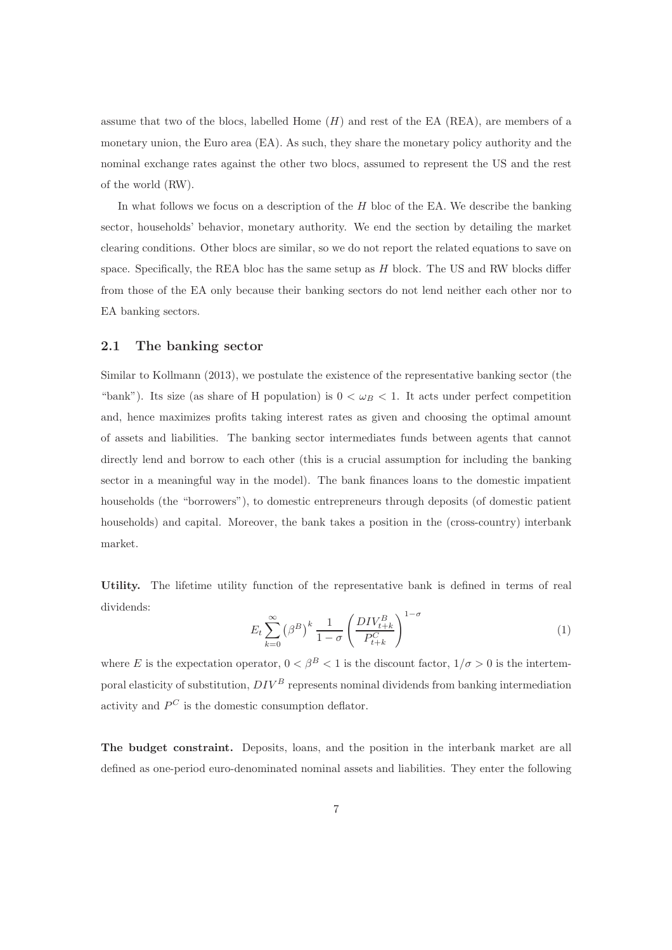assume that two of the blocs, labelled Home  $(H)$  and rest of the EA (REA), are members of a monetary union, the Euro area (EA). As such, they share the monetary policy authority and the nominal exchange rates against the other two blocs, assumed to represent the US and the rest of the world (RW).

In what follows we focus on a description of the  $H$  bloc of the EA. We describe the banking sector, households' behavior, monetary authority. We end the section by detailing the market clearing conditions. Other blocs are similar, so we do not report the related equations to save on space. Specifically, the REA bloc has the same setup as  $H$  block. The US and RW blocks differ from those of the EA only because their banking sectors do not lend neither each other nor to EA banking sectors.

#### 2.1 The banking sector

Similar to Kollmann (2013), we postulate the existence of the representative banking sector (the "bank"). Its size (as share of H population) is  $0 < \omega_B < 1$ . It acts under perfect competition and, hence maximizes profits taking interest rates as given and choosing the optimal amount of assets and liabilities. The banking sector intermediates funds between agents that cannot directly lend and borrow to each other (this is a crucial assumption for including the banking sector in a meaningful way in the model). The bank finances loans to the domestic impatient households (the "borrowers"), to domestic entrepreneurs through deposits (of domestic patient households) and capital. Moreover, the bank takes a position in the (cross-country) interbank market.

Utility. The lifetime utility function of the representative bank is defined in terms of real dividends:

$$
E_t \sum_{k=0}^{\infty} \left(\beta^B\right)^k \frac{1}{1-\sigma} \left(\frac{DIV_{t+k}^B}{P_{t+k}^C}\right)^{1-\sigma} \tag{1}
$$

where E is the expectation operator,  $0 < \beta^B < 1$  is the discount factor,  $1/\sigma > 0$  is the intertemporal elasticity of substitution,  $DIV^B$  represents nominal dividends from banking intermediation activity and  $P^C$  is the domestic consumption deflator.

The budget constraint. Deposits, loans, and the position in the interbank market are all defined as one-period euro-denominated nominal assets and liabilities. They enter the following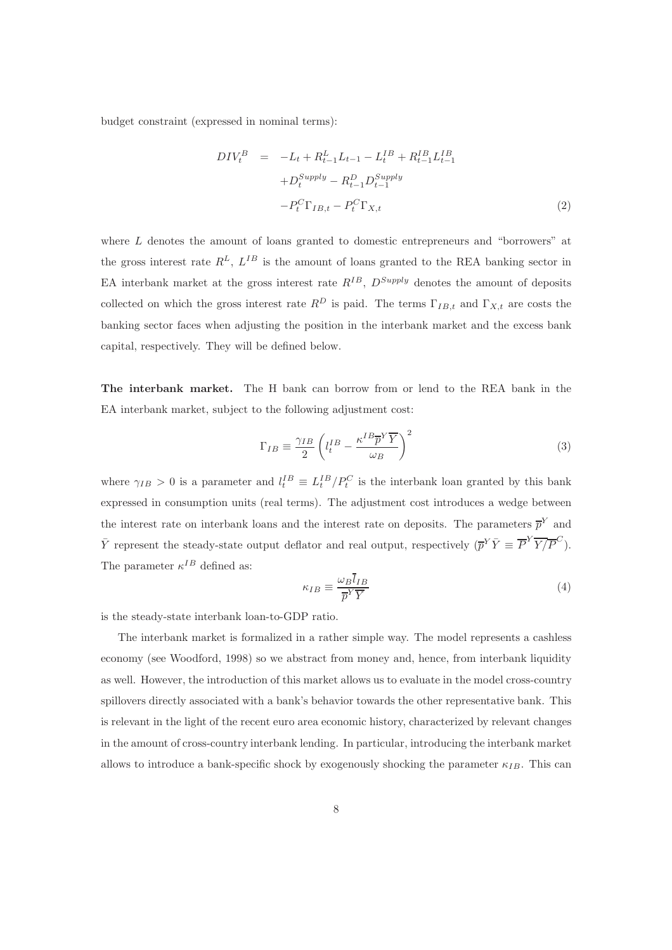budget constraint (expressed in nominal terms):

$$
DIV_t^B = -L_t + R_{t-1}^L L_{t-1} - L_t^{IB} + R_{t-1}^{IB} L_{t-1}^{IB}
$$

$$
+ D_t^{Supply} - R_{t-1}^D D_{t-1}^{Supply}
$$

$$
- P_t^C \Gamma_{IB,t} - P_t^C \Gamma_{X,t}
$$
 $(2)$ 

where L denotes the amount of loans granted to domestic entrepreneurs and "borrowers" at the gross interest rate  $R^L$ ,  $L^{IB}$  is the amount of loans granted to the REA banking sector in EA interbank market at the gross interest rate  $R^{IB}$ ,  $D^{Supply}$  denotes the amount of deposits collected on which the gross interest rate  $R^D$  is paid. The terms  $\Gamma_{IB,t}$  and  $\Gamma_{X,t}$  are costs the banking sector faces when adjusting the position in the interbank market and the excess bank capital, respectively. They will be defined below.

The interbank market. The H bank can borrow from or lend to the REA bank in the EA interbank market, subject to the following adjustment cost:

$$
\Gamma_{IB} \equiv \frac{\gamma_{IB}}{2} \left( l_t^{IB} - \frac{\kappa^{IB} \overline{p}^Y \overline{Y}}{\omega_B} \right)^2 \tag{3}
$$

where  $\gamma_{IB} > 0$  is a parameter and  $l_t^{IB} \equiv L_t^{IB} / P_t^C$  is the interbank loan granted by this bank expressed in consumption units (real terms). The adjustment cost introduces a wedge between the interest rate on interbank loans and the interest rate on deposits. The parameters  $\bar{p}^Y$  and  $\bar{Y}$  represent the steady-state output deflator and real output, respectively  $(\bar{p}^Y \bar{Y} \equiv \overline{P}^Y \overline{Y}/\overline{P}^C)$ . The parameter  $\kappa^{IB}$  defined as:

$$
\kappa_{IB} \equiv \frac{\omega_B \bar{l}_{IB}}{\overline{p}^Y \overline{Y}} \tag{4}
$$

is the steady-state interbank loan-to-GDP ratio.

The interbank market is formalized in a rather simple way. The model represents a cashless economy (see Woodford, 1998) so we abstract from money and, hence, from interbank liquidity as well. However, the introduction of this market allows us to evaluate in the model cross-country spillovers directly associated with a bank's behavior towards the other representative bank. This is relevant in the light of the recent euro area economic history, characterized by relevant changes in the amount of cross-country interbank lending. In particular, introducing the interbank market allows to introduce a bank-specific shock by exogenously shocking the parameter  $\kappa_{IB}$ . This can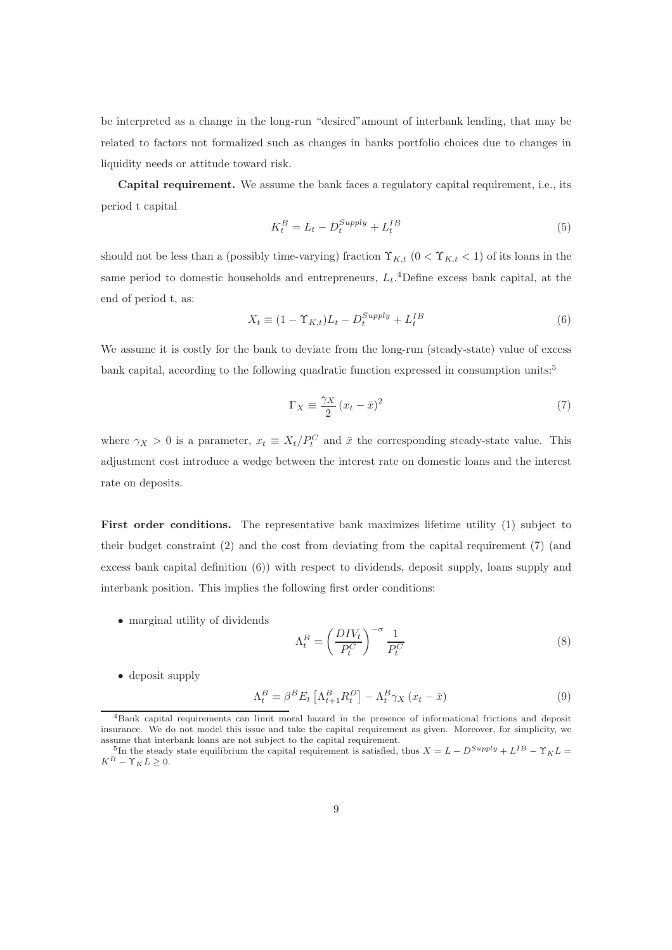be interpreted as a change in the long-run "desired"amount of interbank lending, that may be related to factors not formalized such as changes in banks portfolio choices due to changes in liquidity needs or attitude toward risk.

Capital requirement. We assume the bank faces a regulatory capital requirement, i.e., its period t capital

$$
K_t^B = L_t - D_t^{Supply} + L_t^{IB}
$$
\n
$$
\tag{5}
$$

should not be less than a (possibly time-varying) fraction  $\Upsilon_{K,t}$   $(0 < \Upsilon_{K,t} < 1)$  of its loans in the same period to domestic households and entrepreneurs,  $L_t$ .<sup>4</sup>Define excess bank capital, at the end of period t, as:

$$
X_t \equiv (1 - \Upsilon_{K,t})L_t - D_t^{Supply} + L_t^{IB}
$$
\n
$$
(6)
$$

We assume it is costly for the bank to deviate from the long-run (steady-state) value of excess bank capital, according to the following quadratic function expressed in consumption units:<sup>5</sup>

$$
\Gamma_X \equiv \frac{\gamma_X}{2} \left( x_t - \bar{x} \right)^2 \tag{7}
$$

where  $\gamma_X > 0$  is a parameter,  $x_t \equiv X_t/P_t^C$  and  $\bar{x}$  the corresponding steady-state value. This adjustment cost introduce a wedge between the interest rate on domestic loans and the interest rate on deposits.

First order conditions. The representative bank maximizes lifetime utility (1) subject to their budget constraint (2) and the cost from deviating from the capital requirement (7) (and excess bank capital definition (6)) with respect to dividends, deposit supply, loans supply and interbank position. This implies the following first order conditions:

• marginal utility of dividends

$$
\Lambda_t^B = \left(\frac{DIV_t}{P_t^C}\right)^{-\sigma} \frac{1}{P_t^C}
$$
\n(8)

• deposit supply

$$
\Lambda_t^B = \beta^B E_t \left[ \Lambda_{t+1}^B R_t^D \right] - \Lambda_t^B \gamma_X \left( x_t - \bar{x} \right) \tag{9}
$$

<sup>4</sup>Bank capital requirements can limit moral hazard in the presence of informational frictions and deposit insurance. We do not model this issue and take the capital requirement as given. Moreover, for simplicity, we assume that interbank loans are not subject to the capital requirement.

<sup>&</sup>lt;sup>5</sup>In the steady state equilibrium the capital requirement is satisfied, thus  $X = L - D^{Supply} + L^{IB} - \Upsilon_K L =$  $K^B - \Upsilon_K L \geq 0.$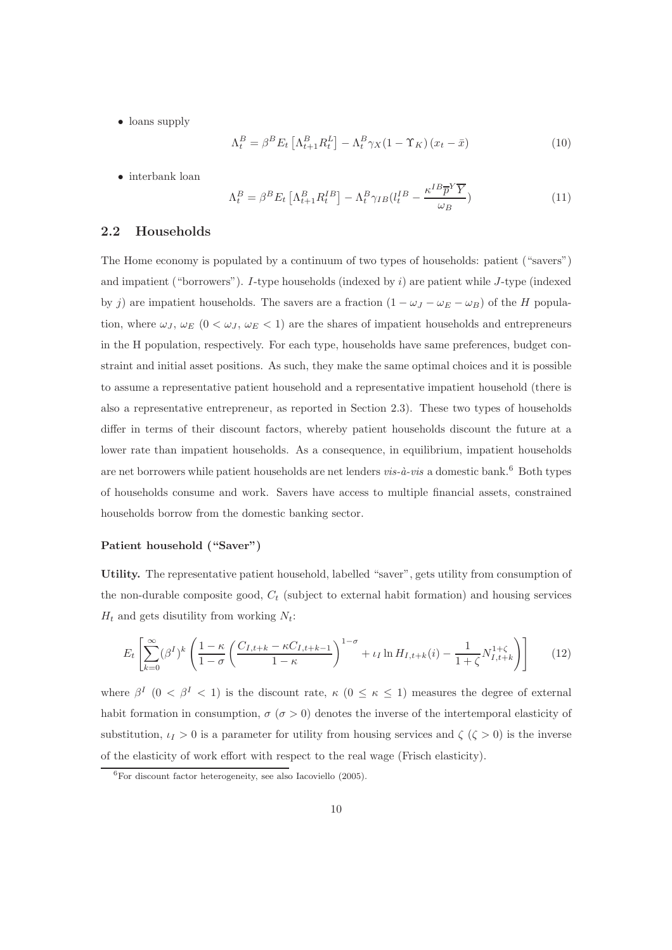• loans supply

$$
\Lambda_t^B = \beta^B E_t \left[ \Lambda_{t+1}^B R_t^L \right] - \Lambda_t^B \gamma_X (1 - \Upsilon_K) \left( x_t - \bar{x} \right) \tag{10}
$$

• interbank loan

$$
\Lambda_t^B = \beta^B E_t \left[ \Lambda_{t+1}^B R_t^{IB} \right] - \Lambda_t^B \gamma_{IB} (l_t^{IB} - \frac{\kappa^{IB} \overline{p}^Y \overline{Y}}{\omega_B}) \tag{11}
$$

#### 2.2 Households

The Home economy is populated by a continuum of two types of households: patient ("savers") and impatient ("borrowers"). I-type households (indexed by  $i$ ) are patient while J-type (indexed by j) are impatient households. The savers are a fraction  $(1 - \omega_J - \omega_E - \omega_B)$  of the H population, where  $\omega_J$ ,  $\omega_E$  (0 <  $\omega_J$ ,  $\omega_E$  < 1) are the shares of impatient households and entrepreneurs in the H population, respectively. For each type, households have same preferences, budget constraint and initial asset positions. As such, they make the same optimal choices and it is possible to assume a representative patient household and a representative impatient household (there is also a representative entrepreneur, as reported in Section 2.3). These two types of households differ in terms of their discount factors, whereby patient households discount the future at a lower rate than impatient households. As a consequence, in equilibrium, impatient households are net borrowers while patient households are net lenders  $vis-\hat{a}-vis$  a domestic bank.<sup>6</sup> Both types of households consume and work. Savers have access to multiple financial assets, constrained households borrow from the domestic banking sector.

#### Patient household ("Saver")

Utility. The representative patient household, labelled "saver", gets utility from consumption of the non-durable composite good,  $C_t$  (subject to external habit formation) and housing services  $H_t$  and gets disutility from working  $N_t$ :

$$
E_t \left[ \sum_{k=0}^{\infty} (\beta^I)^k \left( \frac{1-\kappa}{1-\sigma} \left( \frac{C_{I,t+k} - \kappa C_{I,t+k-1}}{1-\kappa} \right)^{1-\sigma} + \iota_I \ln H_{I,t+k}(i) - \frac{1}{1+\zeta} N_{I,t+k}^{1+\zeta} \right) \right] \tag{12}
$$

where  $\beta^I$  (0 <  $\beta^I$  < 1) is the discount rate,  $\kappa$  (0  $\leq \kappa \leq$  1) measures the degree of external habit formation in consumption,  $\sigma$  ( $\sigma > 0$ ) denotes the inverse of the intertemporal elasticity of substitution,  $\iota_I > 0$  is a parameter for utility from housing services and  $\zeta(\zeta > 0)$  is the inverse of the elasticity of work effort with respect to the real wage (Frisch elasticity).

 ${}^{6}$  For discount factor heterogeneity, see also Iacoviello (2005).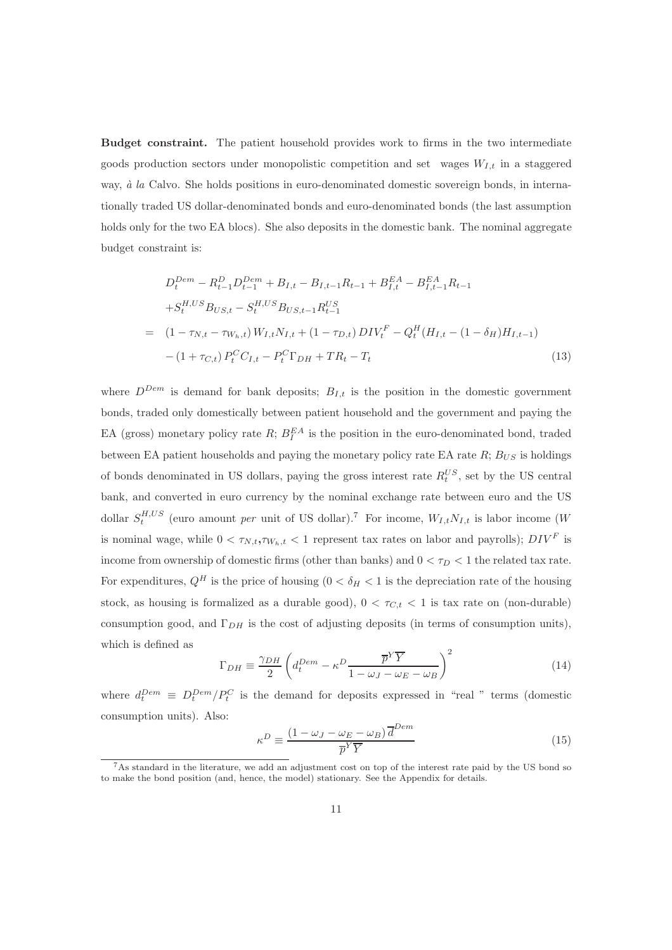Budget constraint. The patient household provides work to firms in the two intermediate goods production sectors under monopolistic competition and set wages  $W_{I,t}$  in a staggered way,  $\dot{a}$  la Calvo. She holds positions in euro-denominated domestic sovereign bonds, in internationally traded US dollar-denominated bonds and euro-denominated bonds (the last assumption holds only for the two EA blocs). She also deposits in the domestic bank. The nominal aggregate budget constraint is:

$$
D_t^{Dem} - R_{t-1}^D D_{t-1}^{Dem} + B_{I,t} - B_{I,t-1} R_{t-1} + B_{I,t}^{EA} - B_{I,t-1}^{EA} R_{t-1}
$$
  
+
$$
S_t^{H,US} B_{US,t} - S_t^{H,US} B_{US,t-1} R_{t-1}^{US}
$$
  
= 
$$
(1 - \tau_{N,t} - \tau_{W_h,t}) W_{I,t} N_{I,t} + (1 - \tau_{D,t}) DIV_t^F - Q_t^H (H_{I,t} - (1 - \delta_H) H_{I,t-1})
$$
  
- 
$$
(1 + \tau_{C,t}) P_t^C C_{I,t} - P_t^C \Gamma_{DH} + T R_t - T_t
$$
 (13)

where  $D^{Dem}$  is demand for bank deposits;  $B_{I,t}$  is the position in the domestic government bonds, traded only domestically between patient household and the government and paying the EA (gross) monetary policy rate  $R$ ;  $B_I^{EA}$  is the position in the euro-denominated bond, traded between EA patient households and paying the monetary policy rate EA rate  $R$ ;  $B_{US}$  is holdings of bonds denominated in US dollars, paying the gross interest rate  $R_t^{US}$ , set by the US central bank, and converted in euro currency by the nominal exchange rate between euro and the US dollar  $S_t^{H,US}$  (euro amount per unit of US dollar).<sup>7</sup> For income,  $W_{I,t}N_{I,t}$  is labor income (W is nominal wage, while  $0 < \tau_{N,t}, \tau_{W_h,t} < 1$  represent tax rates on labor and payrolls);  $DIV^F$  is income from ownership of domestic firms (other than banks) and  $0 < \tau_D < 1$  the related tax rate. For expenditures,  $Q^H$  is the price of housing  $(0 < \delta_H < 1$  is the depreciation rate of the housing stock, as housing is formalized as a durable good),  $0 < \tau_{C,t} < 1$  is tax rate on (non-durable) consumption good, and  $\Gamma_{DH}$  is the cost of adjusting deposits (in terms of consumption units), which is defined as

$$
\Gamma_{DH} \equiv \frac{\gamma_{DH}}{2} \left( d_t^{Dem} - \kappa^D \frac{\overline{p}^Y \overline{Y}}{1 - \omega_J - \omega_E - \omega_B} \right)^2 \tag{14}
$$

where  $d_t^{Dem} \equiv D_t^{Dem}/P_t^C$  is the demand for deposits expressed in "real " terms (domestic consumption units). Also:

$$
\kappa^D \equiv \frac{(1 - \omega_J - \omega_E - \omega_B) \overline{d}^{Dem}}{\overline{p}^Y \overline{Y}}
$$
\n(15)

<sup>7</sup>As standard in the literature, we add an adjustment cost on top of the interest rate paid by the US bond so to make the bond position (and, hence, the model) stationary. See the Appendix for details.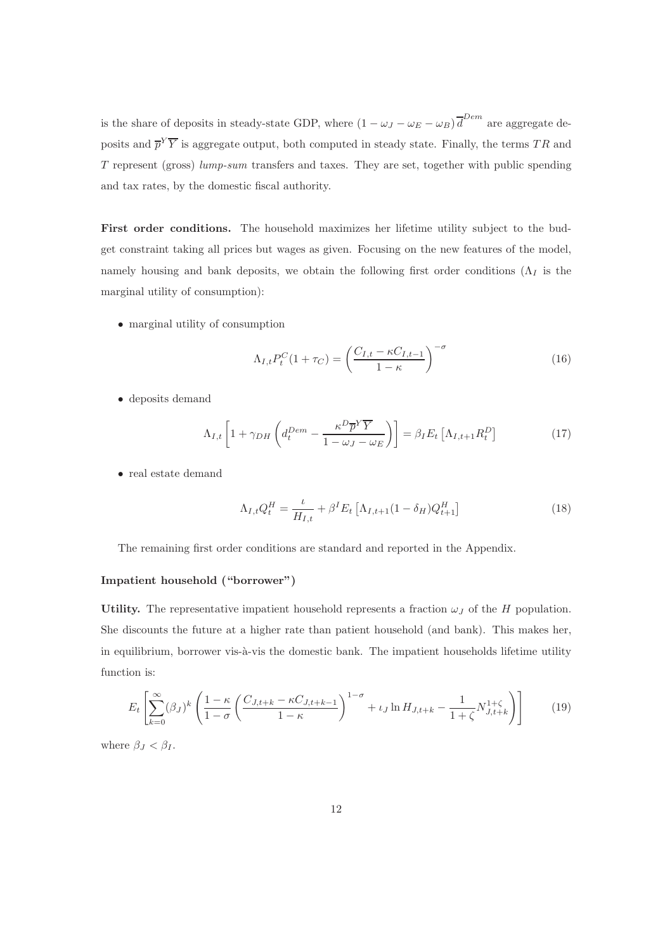is the share of deposits in steady-state GDP, where  $(1 - \omega_J - \omega_E - \omega_B) \overline{d}^{Dem}$  are aggregate deposits and  $\overline{p}^Y \overline{Y}$  is aggregate output, both computed in steady state. Finally, the terms TR and T represent (gross) lump-sum transfers and taxes. They are set, together with public spending and tax rates, by the domestic fiscal authority.

First order conditions. The household maximizes her lifetime utility subject to the budget constraint taking all prices but wages as given. Focusing on the new features of the model, namely housing and bank deposits, we obtain the following first order conditions ( $\Lambda_I$  is the marginal utility of consumption):

• marginal utility of consumption

$$
\Lambda_{I,t} P_t^C (1 + \tau_C) = \left(\frac{C_{I,t} - \kappa C_{I,t-1}}{1 - \kappa}\right)^{-\sigma}
$$
\n(16)

• deposits demand

$$
\Lambda_{I,t} \left[ 1 + \gamma_{DH} \left( d_t^{Dem} - \frac{\kappa^D \overline{p}^Y \overline{Y}}{1 - \omega_J - \omega_E} \right) \right] = \beta_I E_t \left[ \Lambda_{I,t+1} R_t^D \right] \tag{17}
$$

• real estate demand

$$
\Lambda_{I,t} Q_t^H = \frac{\iota}{H_{I,t}} + \beta^I E_t \left[ \Lambda_{I,t+1} (1 - \delta_H) Q_{t+1}^H \right] \tag{18}
$$

The remaining first order conditions are standard and reported in the Appendix.

#### Impatient household ("borrower")

Utility. The representative impatient household represents a fraction  $\omega_J$  of the H population. She discounts the future at a higher rate than patient household (and bank). This makes her, in equilibrium, borrower vis-à-vis the domestic bank. The impatient households lifetime utility function is:

$$
E_t\left[\sum_{k=0}^{\infty}(\beta_J)^k\left(\frac{1-\kappa}{1-\sigma}\left(\frac{C_{J,t+k}-\kappa C_{J,t+k-1}}{1-\kappa}\right)^{1-\sigma}+\iota_J\ln H_{J,t+k}-\frac{1}{1+\zeta}N_{J,t+k}^{1+\zeta}\right)\right]
$$
(19)

where  $\beta_J < \beta_I$ .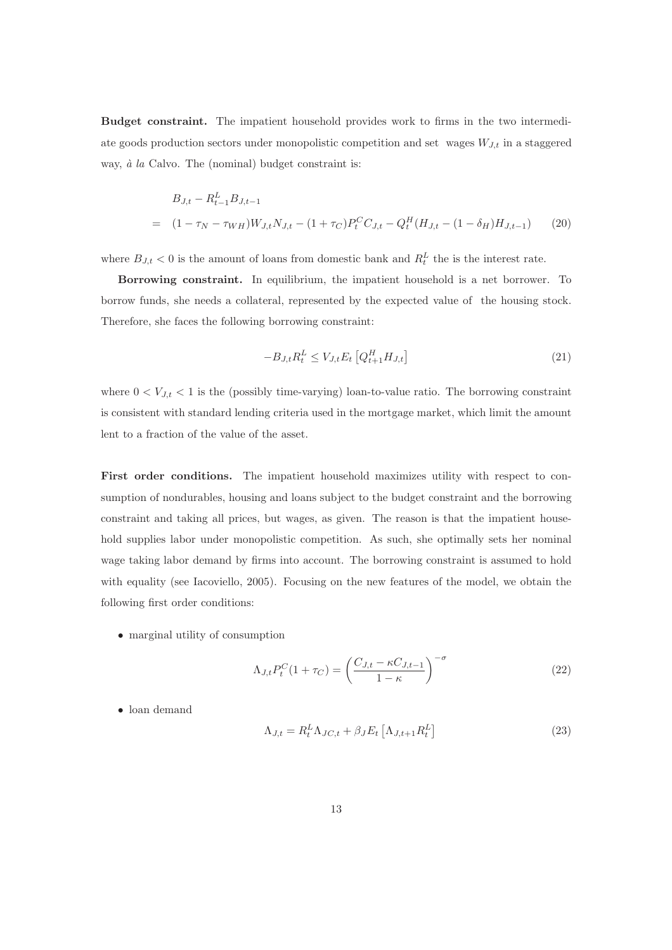Budget constraint. The impatient household provides work to firms in the two intermediate goods production sectors under monopolistic competition and set wages  $W_{J,t}$  in a staggered way,  $\dot{a}$  la Calvo. The (nominal) budget constraint is:

$$
B_{J,t} - R_{t-1}^{L} B_{J,t-1}
$$
  
= 
$$
(1 - \tau_N - \tau_{WH}) W_{J,t} N_{J,t} - (1 + \tau_C) P_t^C C_{J,t} - Q_t^H (H_{J,t} - (1 - \delta_H) H_{J,t-1})
$$
 (20)

where  $B_{J,t} < 0$  is the amount of loans from domestic bank and  $R_t^L$  the is the interest rate.

Borrowing constraint. In equilibrium, the impatient household is a net borrower. To borrow funds, she needs a collateral, represented by the expected value of the housing stock. Therefore, she faces the following borrowing constraint:

$$
-B_{J,t}R_t^L \le V_{J,t}E_t \left[Q_{t+1}^H H_{J,t}\right] \tag{21}
$$

where  $0 < V_{J,t} < 1$  is the (possibly time-varying) loan-to-value ratio. The borrowing constraint is consistent with standard lending criteria used in the mortgage market, which limit the amount lent to a fraction of the value of the asset.

First order conditions. The impatient household maximizes utility with respect to consumption of nondurables, housing and loans subject to the budget constraint and the borrowing constraint and taking all prices, but wages, as given. The reason is that the impatient household supplies labor under monopolistic competition. As such, she optimally sets her nominal wage taking labor demand by firms into account. The borrowing constraint is assumed to hold with equality (see Iacoviello, 2005). Focusing on the new features of the model, we obtain the following first order conditions:

• marginal utility of consumption

$$
\Lambda_{J,t} P_t^C (1 + \tau_C) = \left(\frac{C_{J,t} - \kappa C_{J,t-1}}{1 - \kappa}\right)^{-\sigma}
$$
\n(22)

• loan demand

$$
\Lambda_{J,t} = R_t^L \Lambda_{JC,t} + \beta_J E_t \left[ \Lambda_{J,t+1} R_t^L \right]
$$
\n(23)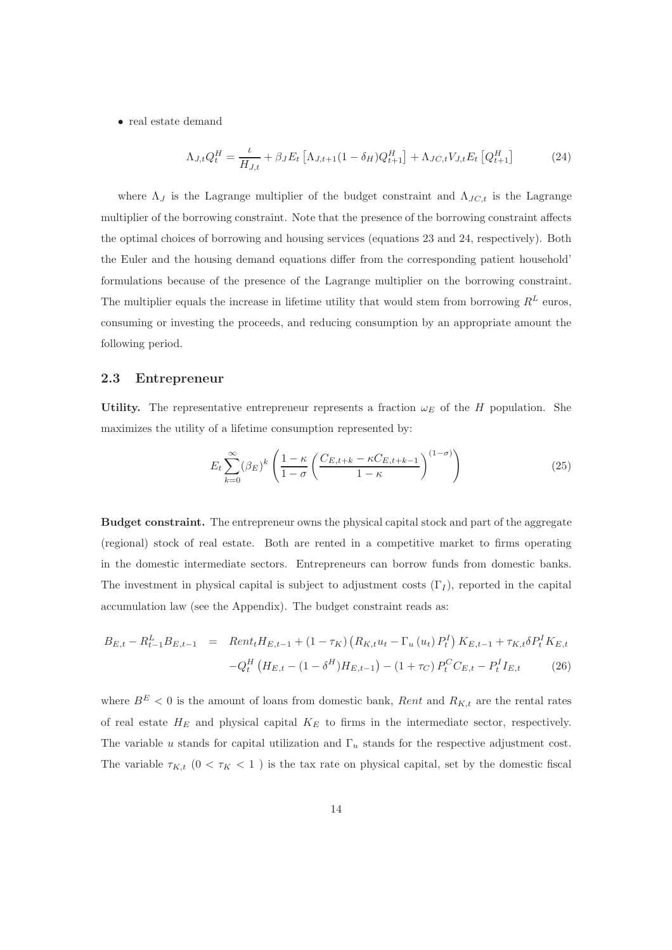• real estate demand

$$
\Lambda_{J,t} Q_t^H = \frac{\iota}{H_{J,t}} + \beta_J E_t \left[ \Lambda_{J,t+1} (1 - \delta_H) Q_{t+1}^H \right] + \Lambda_{JC,t} V_{J,t} E_t \left[ Q_{t+1}^H \right] \tag{24}
$$

where  $\Lambda_J$  is the Lagrange multiplier of the budget constraint and  $\Lambda_{JC,t}$  is the Lagrange multiplier of the borrowing constraint. Note that the presence of the borrowing constraint affects the optimal choices of borrowing and housing services (equations 23 and 24, respectively). Both the Euler and the housing demand equations differ from the corresponding patient household' formulations because of the presence of the Lagrange multiplier on the borrowing constraint. The multiplier equals the increase in lifetime utility that would stem from borrowing  $R^L$  euros, consuming or investing the proceeds, and reducing consumption by an appropriate amount the following period.

#### 2.3 Entrepreneur

Utility. The representative entrepreneur represents a fraction  $\omega_E$  of the H population. She maximizes the utility of a lifetime consumption represented by:

$$
E_t \sum_{k=0}^{\infty} (\beta_E)^k \left( \frac{1 - \kappa}{1 - \sigma} \left( \frac{C_{E, t+k} - \kappa C_{E, t+k-1}}{1 - \kappa} \right)^{(1 - \sigma)} \right)
$$
(25)

Budget constraint. The entrepreneur owns the physical capital stock and part of the aggregate (regional) stock of real estate. Both are rented in a competitive market to firms operating in the domestic intermediate sectors. Entrepreneurs can borrow funds from domestic banks. The investment in physical capital is subject to adjustment costs  $(\Gamma_I)$ , reported in the capital accumulation law (see the Appendix). The budget constraint reads as:

$$
B_{E,t} - R_{t-1}^L B_{E,t-1} = \text{Rent}_t H_{E,t-1} + (1 - \tau_K) \left( R_{K,t} u_t - \Gamma_u \left( u_t \right) P_t^I \right) K_{E,t-1} + \tau_{K,t} \delta P_t^I K_{E,t} - Q_t^H \left( H_{E,t} - (1 - \delta^H) H_{E,t-1} \right) - (1 + \tau_C) P_t^C C_{E,t} - P_t^I I_{E,t}
$$
(26)

where  $B<sup>E</sup> < 0$  is the amount of loans from domestic bank, *Rent* and  $R_{K,t}$  are the rental rates of real estate  $H_E$  and physical capital  $K_E$  to firms in the intermediate sector, respectively. The variable u stands for capital utilization and  $\Gamma_u$  stands for the respective adjustment cost. The variable  $\tau_{K,t}$   $(0 < \tau_K < 1)$  is the tax rate on physical capital, set by the domestic fiscal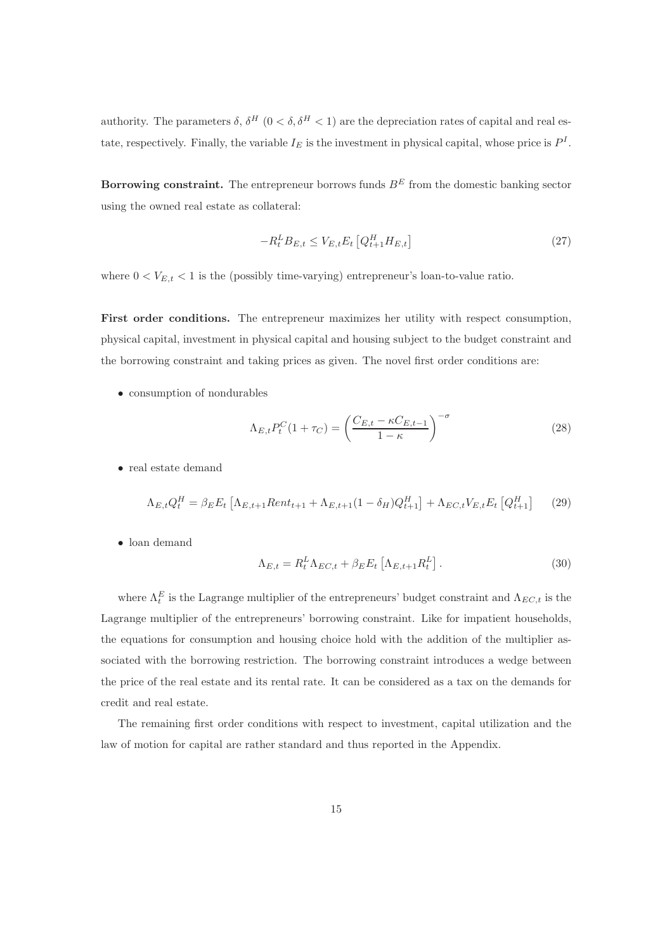authority. The parameters  $\delta$ ,  $\delta^H$   $(0 < \delta, \delta^H < 1)$  are the depreciation rates of capital and real estate, respectively. Finally, the variable  $I_E$  is the investment in physical capital, whose price is  $P^I$ .

**Borrowing constraint.** The entrepreneur borrows funds  $B<sup>E</sup>$  from the domestic banking sector using the owned real estate as collateral:

$$
-R_t^L B_{E,t} \le V_{E,t} E_t \left[ Q_{t+1}^H H_{E,t} \right] \tag{27}
$$

where  $0 < V_{E,t} < 1$  is the (possibly time-varying) entrepreneur's loan-to-value ratio.

First order conditions. The entrepreneur maximizes her utility with respect consumption, physical capital, investment in physical capital and housing subject to the budget constraint and the borrowing constraint and taking prices as given. The novel first order conditions are:

• consumption of nondurables

$$
\Lambda_{E,t} P_t^C (1 + \tau_C) = \left(\frac{C_{E,t} - \kappa C_{E,t-1}}{1 - \kappa}\right)^{-\sigma} \tag{28}
$$

• real estate demand

$$
\Lambda_{E,t} Q_t^H = \beta_E E_t \left[ \Lambda_{E,t+1} Rent_{t+1} + \Lambda_{E,t+1} (1 - \delta_H) Q_{t+1}^H \right] + \Lambda_{EC,t} V_{E,t} E_t \left[ Q_{t+1}^H \right] \tag{29}
$$

• loan demand

$$
\Lambda_{E,t} = R_t^L \Lambda_{EC,t} + \beta_E E_t \left[ \Lambda_{E,t+1} R_t^L \right]. \tag{30}
$$

where  $\Lambda_t^E$  is the Lagrange multiplier of the entrepreneurs' budget constraint and  $\Lambda_{EC,t}$  is the Lagrange multiplier of the entrepreneurs' borrowing constraint. Like for impatient households, the equations for consumption and housing choice hold with the addition of the multiplier associated with the borrowing restriction. The borrowing constraint introduces a wedge between the price of the real estate and its rental rate. It can be considered as a tax on the demands for credit and real estate.

The remaining first order conditions with respect to investment, capital utilization and the law of motion for capital are rather standard and thus reported in the Appendix.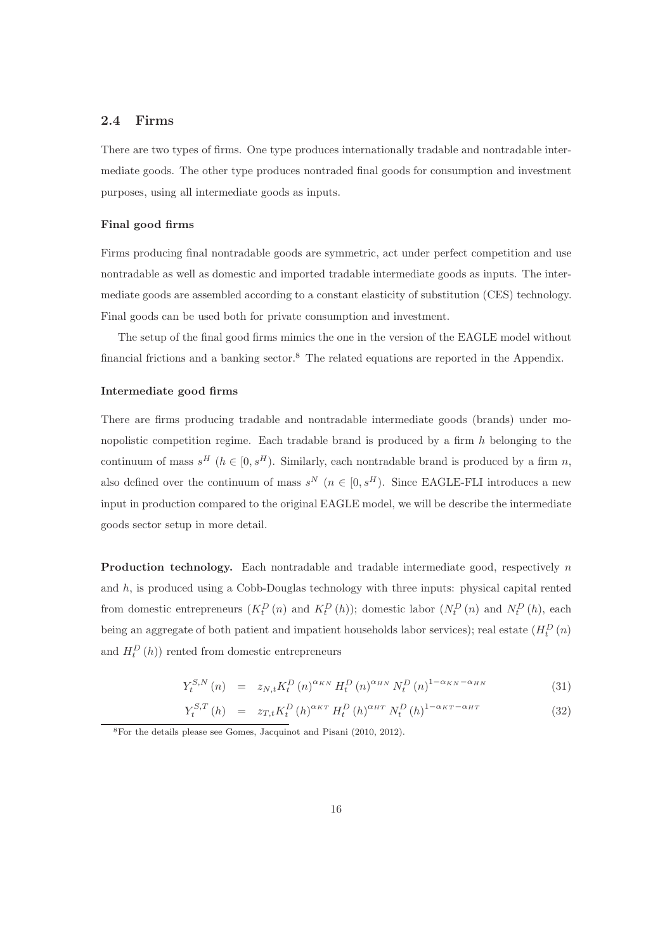#### 2.4 Firms

There are two types of firms. One type produces internationally tradable and nontradable intermediate goods. The other type produces nontraded final goods for consumption and investment purposes, using all intermediate goods as inputs.

#### Final good firms

Firms producing final nontradable goods are symmetric, act under perfect competition and use nontradable as well as domestic and imported tradable intermediate goods as inputs. The intermediate goods are assembled according to a constant elasticity of substitution (CES) technology. Final goods can be used both for private consumption and investment.

The setup of the final good firms mimics the one in the version of the EAGLE model without financial frictions and a banking sector.<sup>8</sup> The related equations are reported in the Appendix.

#### Intermediate good firms

There are firms producing tradable and nontradable intermediate goods (brands) under monopolistic competition regime. Each tradable brand is produced by a firm  $h$  belonging to the continuum of mass  $s^H$  ( $h \in [0, s^H)$ . Similarly, each nontradable brand is produced by a firm n, also defined over the continuum of mass  $s^N$   $(n \in [0, s^H)$ . Since EAGLE-FLI introduces a new input in production compared to the original EAGLE model, we will be describe the intermediate goods sector setup in more detail.

**Production technology.** Each nontradable and tradable intermediate good, respectively  $n$ and  $h$ , is produced using a Cobb-Douglas technology with three inputs: physical capital rented from domestic entrepreneurs  $(K_t^D(n)$  and  $K_t^D(n)$ ; domestic labor  $(N_t^D(n)$  and  $N_t^D(n)$ , each being an aggregate of both patient and impatient households labor services); real estate  $(H_t^D(n)$ and  $H_t^D(h)$  rented from domestic entrepreneurs

$$
Y_{t}^{S,N}(n) = z_{N,t} K_{t}^{D}(n)^{\alpha_{KN}} H_{t}^{D}(n)^{\alpha_{HN}} N_{t}^{D}(n)^{1-\alpha_{KN}-\alpha_{HN}} \tag{31}
$$

$$
Y_t^{S,T}(h) = z_{T,t} K_t^D(h)^{\alpha_{KT}} H_t^D(h)^{\alpha_{HT}} N_t^D(h)^{1-\alpha_{KT}-\alpha_{HT}}
$$
\n(32)

<sup>8</sup>For the details please see Gomes, Jacquinot and Pisani (2010, 2012).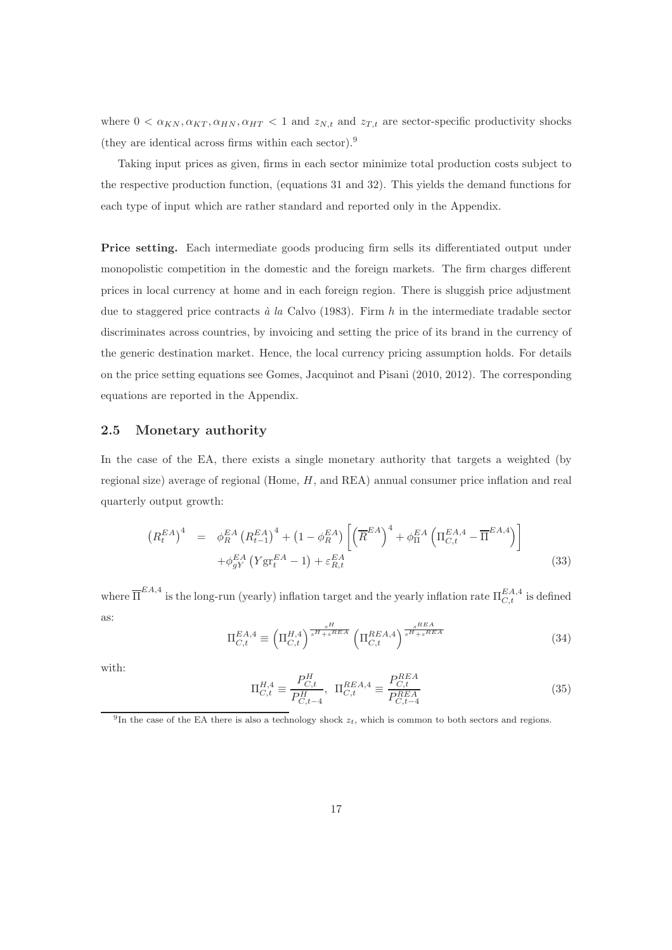where  $0 < \alpha_{KN}, \alpha_{KT}, \alpha_{HN}, \alpha_{HT} < 1$  and  $z_{N,t}$  and  $z_{T,t}$  are sector-specific productivity shocks (they are identical across firms within each sector).<sup>9</sup>

Taking input prices as given, firms in each sector minimize total production costs subject to the respective production function, (equations 31 and 32). This yields the demand functions for each type of input which are rather standard and reported only in the Appendix.

Price setting. Each intermediate goods producing firm sells its differentiated output under monopolistic competition in the domestic and the foreign markets. The firm charges different prices in local currency at home and in each foreign region. There is sluggish price adjustment due to staggered price contracts à la Calvo (1983). Firm h in the intermediate tradable sector discriminates across countries, by invoicing and setting the price of its brand in the currency of the generic destination market. Hence, the local currency pricing assumption holds. For details on the price setting equations see Gomes, Jacquinot and Pisani (2010, 2012). The corresponding equations are reported in the Appendix.

#### 2.5 Monetary authority

In the case of the EA, there exists a single monetary authority that targets a weighted (by regional size) average of regional (Home, H, and REA) annual consumer price inflation and real quarterly output growth:

$$
\left(R_t^{EA}\right)^4 = \phi_R^{EA} \left(R_{t-1}^{EA}\right)^4 + \left(1 - \phi_R^{EA}\right) \left[\left(\overline{R}^{EA}\right)^4 + \phi_{\Pi}^{EA} \left(\Pi_{C,t}^{EA,4} - \overline{\Pi}^{EA,4}\right)\right] + \phi_{gY}^{EA} \left(Y_{\mathcal{S}^T}^{EA} - 1\right) + \varepsilon_{R,t}^{EA}
$$
\n(33)

where  $\overline{\Pi}^{EA,4}$  is the long-run (yearly) inflation target and the yearly inflation rate  $\Pi_{C,t}^{EA,4}$  is defined as:

$$
\Pi_{C,t}^{EA,4} \equiv \left(\Pi_{C,t}^{H,4}\right)^{\frac{s^H}{s^H + s^{REA}}} \left(\Pi_{C,t}^{REA,4}\right)^{\frac{s^{REA}}{s^H + s^{REA}}} \tag{34}
$$

with:

$$
\Pi_{C,t}^{H,4} \equiv \frac{P_{C,t}^H}{P_{C,t-4}^H}, \ \Pi_{C,t}^{REA,4} \equiv \frac{P_{C,t}^{REA}}{P_{C,t-4}^{REA}} \tag{35}
$$

<sup>&</sup>lt;sup>9</sup>In the case of the EA there is also a technology shock  $z_t$ , which is common to both sectors and regions.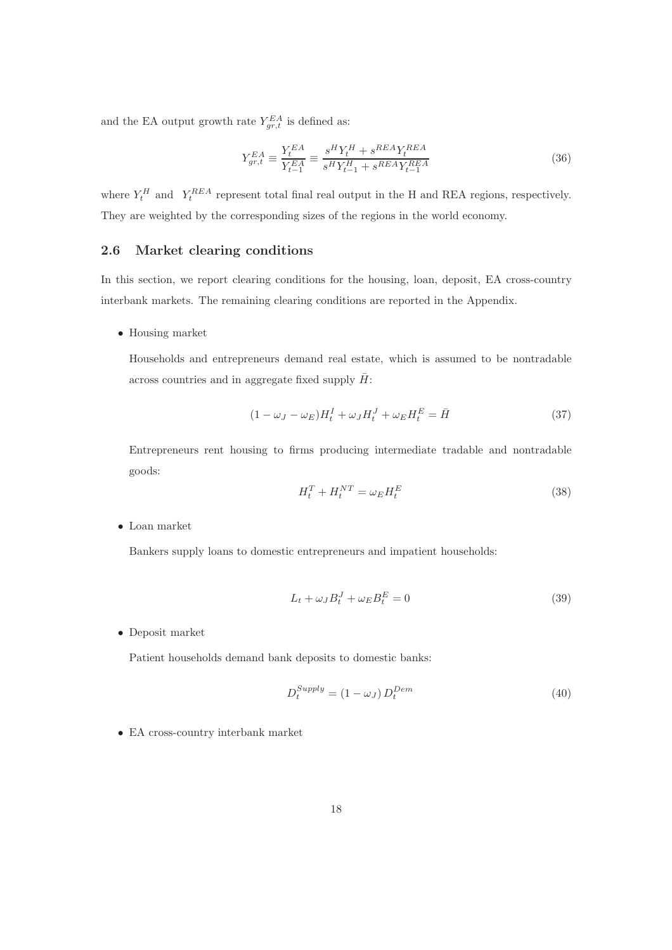and the EA output growth rate  $Y_{gr,t}^{EA}$  is defined as:

$$
Y_{gr,t}^{EA} \equiv \frac{Y_t^{EA}}{Y_{t-1}^{EA}} \equiv \frac{s^H Y_t^H + s^{REA} Y_t^{REA}}{s^H Y_{t-1}^H + s^{REA} Y_{t-1}^{REA}} \tag{36}
$$

where  $Y_t^H$  and  $Y_t^{REA}$  represent total final real output in the H and REA regions, respectively. They are weighted by the corresponding sizes of the regions in the world economy.

#### 2.6 Market clearing conditions

In this section, we report clearing conditions for the housing, loan, deposit, EA cross-country interbank markets. The remaining clearing conditions are reported in the Appendix.

• Housing market

Households and entrepreneurs demand real estate, which is assumed to be nontradable across countries and in aggregate fixed supply  $H$ :

$$
(1 - \omega_J - \omega_E)H_t^I + \omega_J H_t^J + \omega_E H_t^E = \bar{H}
$$
\n(37)

Entrepreneurs rent housing to firms producing intermediate tradable and nontradable goods:

$$
H_t^T + H_t^{NT} = \omega_E H_t^E \tag{38}
$$

• Loan market

Bankers supply loans to domestic entrepreneurs and impatient households:

$$
L_t + \omega_J B_t^J + \omega_E B_t^E = 0
$$
\n(39)

• Deposit market

Patient households demand bank deposits to domestic banks:

$$
D_t^{Supply} = (1 - \omega_J) D_t^{Dem}
$$
\n
$$
(40)
$$

• EA cross-country interbank market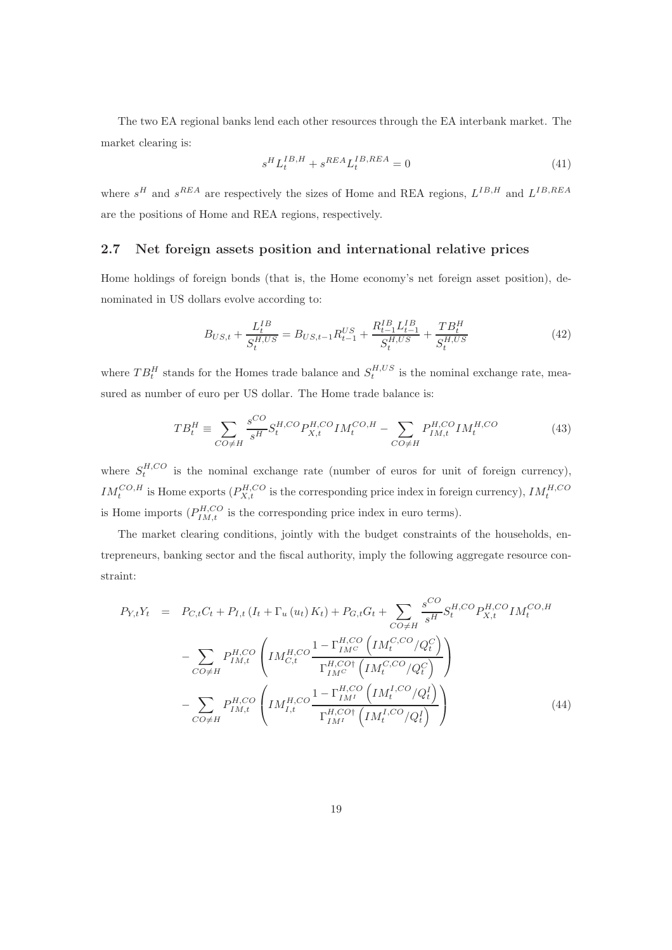The two EA regional banks lend each other resources through the EA interbank market. The market clearing is:

$$
s^H L_t^{IB,H} + s^{REA} L_t^{IB,REA} = 0 \tag{41}
$$

where  $s^H$  and  $s^{REA}$  are respectively the sizes of Home and REA regions,  $L^{IB,H}$  and  $L^{IB,REA}$ are the positions of Home and REA regions, respectively.

#### 2.7 Net foreign assets position and international relative prices

Home holdings of foreign bonds (that is, the Home economy's net foreign asset position), denominated in US dollars evolve according to:

$$
B_{US,t} + \frac{L_t^{IB}}{S_t^{H,US}} = B_{US,t-1}R_{t-1}^{US} + \frac{R_{t-1}^{IB}L_{t-1}^{IB}}{S_t^{H,US}} + \frac{TB_t^H}{S_t^{H,US}} \tag{42}
$$

where  $TB_t^H$  stands for the Homes trade balance and  $S_t^{H,US}$  is the nominal exchange rate, measured as number of euro per US dollar. The Home trade balance is:

$$
TB_t^H \equiv \sum_{CO \neq H} \frac{s^{CO}}{s^H} S_t^{H, CO} P_{X,t}^{H, CO} I M_t^{CO, H} - \sum_{CO \neq H} P_{IM,t}^{H, CO} I M_t^{H, CO}
$$
(43)

where  $S_t^{H,CO}$  is the nominal exchange rate (number of euros for unit of foreign currency),  $IM_t^{CO,H}$  is Home exports  $(P_{X,t}^{H,CO}$  is the corresponding price index in foreign currency),  $IM_t^{H,CO}$ is Home imports  $(P_{IM,t}^{H,CO}$  is the corresponding price index in euro terms).

The market clearing conditions, jointly with the budget constraints of the households, entrepreneurs, banking sector and the fiscal authority, imply the following aggregate resource constraint:

$$
P_{Y,t}Y_t = P_{C,t}C_t + P_{I,t}(I_t + \Gamma_u(u_t)K_t) + P_{G,t}G_t + \sum_{CO \neq H} \frac{s^{CO}}{s^H} S_t^{H,CO} P_{X,t}^{H,CO} I M_t^{CO,H}
$$

$$
- \sum_{CO \neq H} P_{IM,t}^{H,CO} \left( I M_{C,t}^{H,CO} \frac{1 - \Gamma_{IMC}^{H,CO} \left( I M_t^{C,CO} / Q_t^C \right)}{\Gamma_{IM}^{H,CO\dagger} \left( I M_t^{C,CO} / Q_t^C \right)} \right)
$$

$$
- \sum_{CO \neq H} P_{IM,t}^{H,CO} \left( I M_{I,t}^{H,CO} \frac{1 - \Gamma_{IMI}^{H,CO} \left( I M_t^{I,CO} / Q_t^I \right)}{\Gamma_{IMI}^{H,CO\dagger} \left( I M_t^{I,CO} / Q_t^I \right)} \right) \tag{44}
$$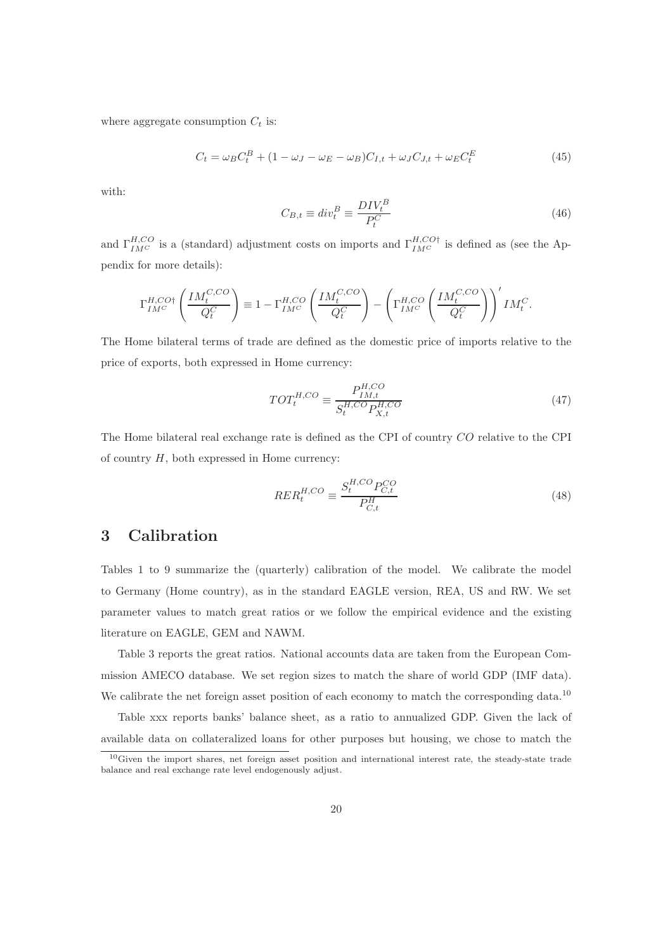where aggregate consumption  $C_t$  is:

$$
C_t = \omega_B C_t^B + (1 - \omega_J - \omega_E - \omega_B)C_{I,t} + \omega_J C_{J,t} + \omega_E C_t^E
$$
\n
$$
\tag{45}
$$

with:

$$
C_{B,t} \equiv div_t^B \equiv \frac{DIV_t^B}{P_t^C} \tag{46}
$$

and  $\Gamma_{IM}^{H,CO}$  is a (standard) adjustment costs on imports and  $\Gamma_{IM}^{H,CO\dagger}$  is defined as (see the Appendix for more details):

$$
\Gamma_{IM^C}^{H,CO\dagger}\left(\frac{IM_t^{C,CO}}{Q_t^C}\right) \equiv 1-\Gamma_{IM^C}^{H,CO}\left(\frac{IM_t^{C,CO}}{Q_t^C}\right)-\left(\Gamma_{IM^C}^{H,CO}\left(\frac{IM_t^{C,CO}}{Q_t^C}\right)\right)'IM_t^C.
$$

The Home bilateral terms of trade are defined as the domestic price of imports relative to the price of exports, both expressed in Home currency:

$$
TOT_t^{H,CO} \equiv \frac{P_{IM,t}^{H,CO}}{S_t^{H,CO} P_{X,t}^{H,CO}} \tag{47}
$$

The Home bilateral real exchange rate is defined as the CPI of country CO relative to the CPI of country  $H$ , both expressed in Home currency:

$$
RER_t^{H,CO} \equiv \frac{S_t^{H,CO}PC_{C,t}^{CO}}{P_{C,t}^H}
$$
\n
$$
\tag{48}
$$

## 3 Calibration

Tables 1 to 9 summarize the (quarterly) calibration of the model. We calibrate the model to Germany (Home country), as in the standard EAGLE version, REA, US and RW. We set parameter values to match great ratios or we follow the empirical evidence and the existing literature on EAGLE, GEM and NAWM.

Table 3 reports the great ratios. National accounts data are taken from the European Commission AMECO database. We set region sizes to match the share of world GDP (IMF data). We calibrate the net foreign asset position of each economy to match the corresponding data.<sup>10</sup>

Table xxx reports banks' balance sheet, as a ratio to annualized GDP. Given the lack of available data on collateralized loans for other purposes but housing, we chose to match the

<sup>10</sup>Given the import shares, net foreign asset position and international interest rate, the steady-state trade balance and real exchange rate level endogenously adjust.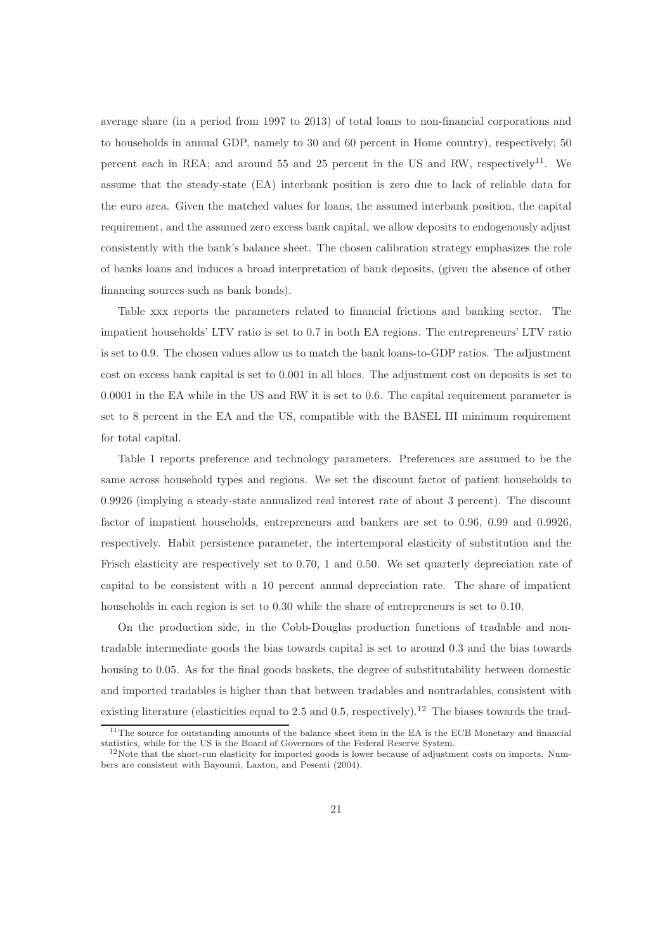average share (in a period from 1997 to 2013) of total loans to non-financial corporations and to households in annual GDP, namely to 30 and 60 percent in Home country), respectively; 50 percent each in REA; and around 55 and 25 percent in the US and RW, respectively<sup>11</sup>. We assume that the steady-state (EA) interbank position is zero due to lack of reliable data for the euro area. Given the matched values for loans, the assumed interbank position, the capital requirement, and the assumed zero excess bank capital, we allow deposits to endogenously adjust consistently with the bank's balance sheet. The chosen calibration strategy emphasizes the role of banks loans and induces a broad interpretation of bank deposits, (given the absence of other financing sources such as bank bonds).

Table xxx reports the parameters related to financial frictions and banking sector. The impatient households' LTV ratio is set to 0.7 in both EA regions. The entrepreneurs' LTV ratio is set to 0.9. The chosen values allow us to match the bank loans-to-GDP ratios. The adjustment cost on excess bank capital is set to 0.001 in all blocs. The adjustment cost on deposits is set to 0.0001 in the EA while in the US and RW it is set to 0.6. The capital requirement parameter is set to 8 percent in the EA and the US, compatible with the BASEL III minimum requirement for total capital.

Table 1 reports preference and technology parameters. Preferences are assumed to be the same across household types and regions. We set the discount factor of patient households to 0.9926 (implying a steady-state annualized real interest rate of about 3 percent). The discount factor of impatient households, entrepreneurs and bankers are set to 0.96, 0.99 and 0.9926, respectively. Habit persistence parameter, the intertemporal elasticity of substitution and the Frisch elasticity are respectively set to 0.70, 1 and 0.50. We set quarterly depreciation rate of capital to be consistent with a 10 percent annual depreciation rate. The share of impatient households in each region is set to 0.30 while the share of entrepreneurs is set to 0.10.

On the production side, in the Cobb-Douglas production functions of tradable and nontradable intermediate goods the bias towards capital is set to around 0.3 and the bias towards housing to 0.05. As for the final goods baskets, the degree of substitutability between domestic and imported tradables is higher than that between tradables and nontradables, consistent with existing literature (elasticities equal to 2.5 and 0.5, respectively).<sup>12</sup> The biases towards the trad-

<sup>&</sup>lt;sup>11</sup>The source for outstanding amounts of the balance sheet item in the EA is the ECB Monetary and financial statistics, while for the US is the Board of Governors of the Federal Reserve System.

 $12$ Note that the short-run elasticity for imported goods is lower because of adjustment costs on imports. Numbers are consistent with Bayoumi, Laxton, and Pesenti (2004).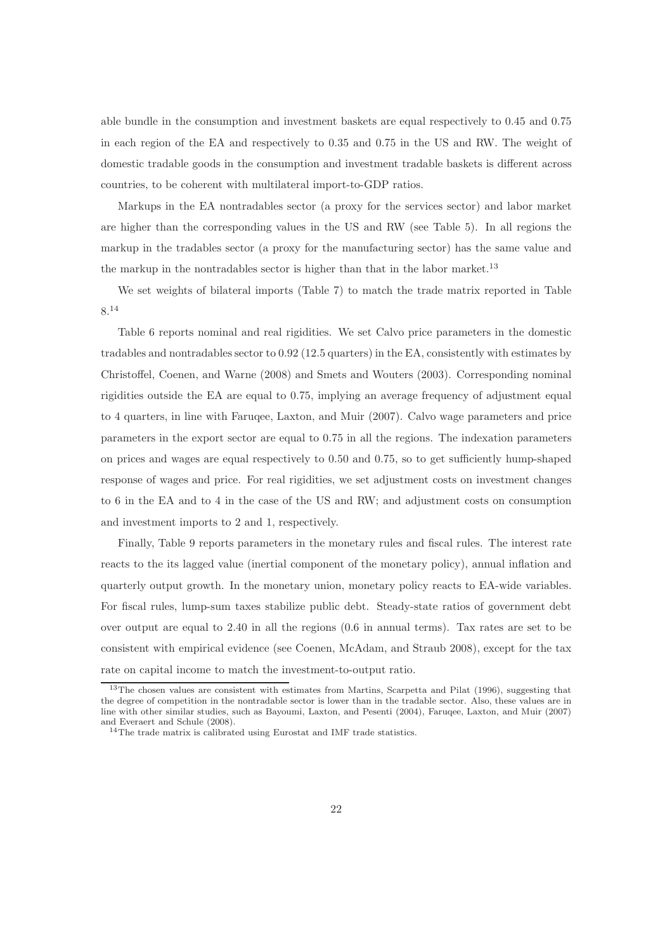able bundle in the consumption and investment baskets are equal respectively to 0.45 and 0.75 in each region of the EA and respectively to 0.35 and 0.75 in the US and RW. The weight of domestic tradable goods in the consumption and investment tradable baskets is different across countries, to be coherent with multilateral import-to-GDP ratios.

Markups in the EA nontradables sector (a proxy for the services sector) and labor market are higher than the corresponding values in the US and RW (see Table 5). In all regions the markup in the tradables sector (a proxy for the manufacturing sector) has the same value and the markup in the nontradables sector is higher than that in the labor market.<sup>13</sup>

We set weights of bilateral imports (Table 7) to match the trade matrix reported in Table 8.<sup>14</sup>

Table 6 reports nominal and real rigidities. We set Calvo price parameters in the domestic tradables and nontradables sector to 0.92 (12.5 quarters) in the EA, consistently with estimates by Christoffel, Coenen, and Warne (2008) and Smets and Wouters (2003). Corresponding nominal rigidities outside the EA are equal to 0.75, implying an average frequency of adjustment equal to 4 quarters, in line with Faruqee, Laxton, and Muir (2007). Calvo wage parameters and price parameters in the export sector are equal to 0.75 in all the regions. The indexation parameters on prices and wages are equal respectively to 0.50 and 0.75, so to get sufficiently hump-shaped response of wages and price. For real rigidities, we set adjustment costs on investment changes to 6 in the EA and to 4 in the case of the US and RW; and adjustment costs on consumption and investment imports to 2 and 1, respectively.

Finally, Table 9 reports parameters in the monetary rules and fiscal rules. The interest rate reacts to the its lagged value (inertial component of the monetary policy), annual inflation and quarterly output growth. In the monetary union, monetary policy reacts to EA-wide variables. For fiscal rules, lump-sum taxes stabilize public debt. Steady-state ratios of government debt over output are equal to 2.40 in all the regions (0.6 in annual terms). Tax rates are set to be consistent with empirical evidence (see Coenen, McAdam, and Straub 2008), except for the tax rate on capital income to match the investment-to-output ratio.

<sup>&</sup>lt;sup>13</sup>The chosen values are consistent with estimates from Martins, Scarpetta and Pilat (1996), suggesting that the degree of competition in the nontradable sector is lower than in the tradable sector. Also, these values are in line with other similar studies, such as Bayoumi, Laxton, and Pesenti (2004), Faruqee, Laxton, and Muir (2007) and Everaert and Schule (2008).

 $^{14}\mathrm{The}$  trade matrix is calibrated using Eurostat and IMF trade statistics.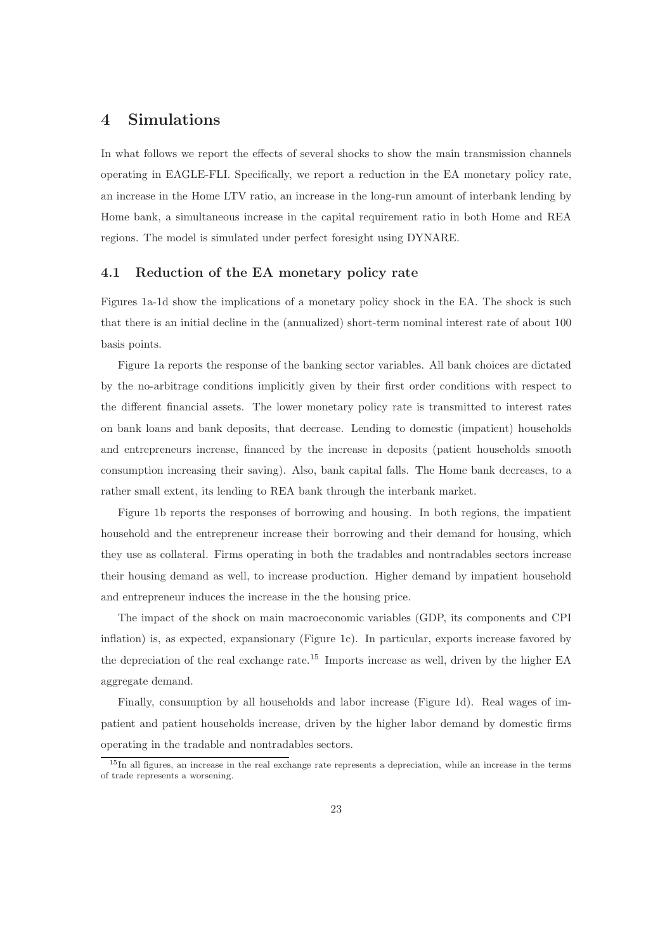## 4 Simulations

In what follows we report the effects of several shocks to show the main transmission channels operating in EAGLE-FLI. Specifically, we report a reduction in the EA monetary policy rate, an increase in the Home LTV ratio, an increase in the long-run amount of interbank lending by Home bank, a simultaneous increase in the capital requirement ratio in both Home and REA regions. The model is simulated under perfect foresight using DYNARE.

#### 4.1 Reduction of the EA monetary policy rate

Figures 1a-1d show the implications of a monetary policy shock in the EA. The shock is such that there is an initial decline in the (annualized) short-term nominal interest rate of about 100 basis points.

Figure 1a reports the response of the banking sector variables. All bank choices are dictated by the no-arbitrage conditions implicitly given by their first order conditions with respect to the different financial assets. The lower monetary policy rate is transmitted to interest rates on bank loans and bank deposits, that decrease. Lending to domestic (impatient) households and entrepreneurs increase, financed by the increase in deposits (patient households smooth consumption increasing their saving). Also, bank capital falls. The Home bank decreases, to a rather small extent, its lending to REA bank through the interbank market.

Figure 1b reports the responses of borrowing and housing. In both regions, the impatient household and the entrepreneur increase their borrowing and their demand for housing, which they use as collateral. Firms operating in both the tradables and nontradables sectors increase their housing demand as well, to increase production. Higher demand by impatient household and entrepreneur induces the increase in the the housing price.

The impact of the shock on main macroeconomic variables (GDP, its components and CPI inflation) is, as expected, expansionary (Figure 1c). In particular, exports increase favored by the depreciation of the real exchange rate.<sup>15</sup> Imports increase as well, driven by the higher EA aggregate demand.

Finally, consumption by all households and labor increase (Figure 1d). Real wages of impatient and patient households increase, driven by the higher labor demand by domestic firms operating in the tradable and nontradables sectors.

<sup>&</sup>lt;sup>15</sup>In all figures, an increase in the real exchange rate represents a depreciation, while an increase in the terms of trade represents a worsening.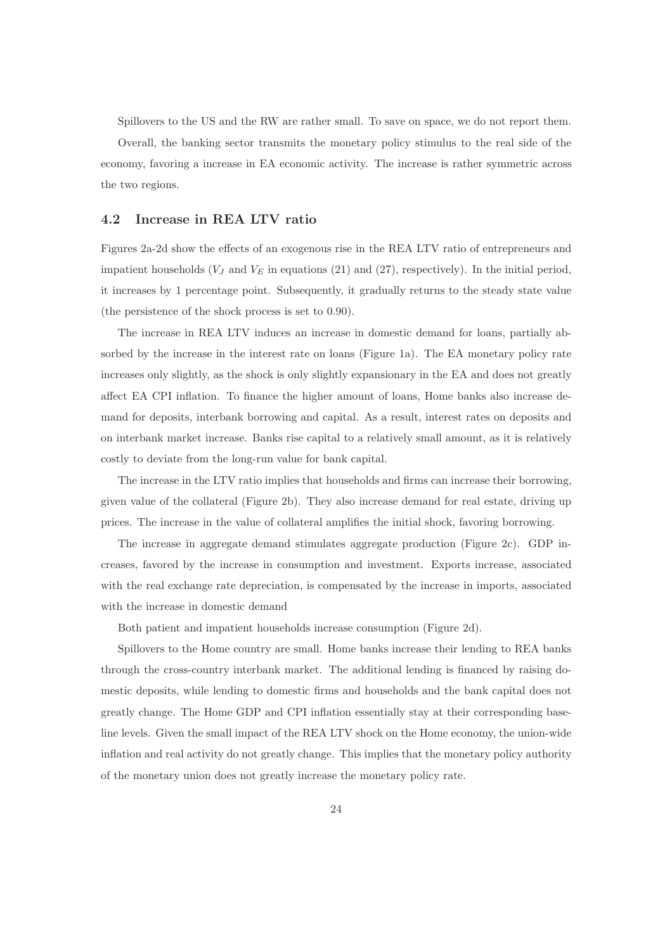Spillovers to the US and the RW are rather small. To save on space, we do not report them.

Overall, the banking sector transmits the monetary policy stimulus to the real side of the economy, favoring a increase in EA economic activity. The increase is rather symmetric across the two regions.

#### 4.2 Increase in REA LTV ratio

Figures 2a-2d show the effects of an exogenous rise in the REA LTV ratio of entrepreneurs and impatient households  $(V_J \text{ and } V_E \text{ in equations (21) and (27), respectively). In the initial period,$ it increases by 1 percentage point. Subsequently, it gradually returns to the steady state value (the persistence of the shock process is set to 0.90).

The increase in REA LTV induces an increase in domestic demand for loans, partially absorbed by the increase in the interest rate on loans (Figure 1a). The EA monetary policy rate increases only slightly, as the shock is only slightly expansionary in the EA and does not greatly affect EA CPI inflation. To finance the higher amount of loans, Home banks also increase demand for deposits, interbank borrowing and capital. As a result, interest rates on deposits and on interbank market increase. Banks rise capital to a relatively small amount, as it is relatively costly to deviate from the long-run value for bank capital.

The increase in the LTV ratio implies that households and firms can increase their borrowing, given value of the collateral (Figure 2b). They also increase demand for real estate, driving up prices. The increase in the value of collateral amplifies the initial shock, favoring borrowing.

The increase in aggregate demand stimulates aggregate production (Figure 2c). GDP increases, favored by the increase in consumption and investment. Exports increase, associated with the real exchange rate depreciation, is compensated by the increase in imports, associated with the increase in domestic demand

Both patient and impatient households increase consumption (Figure 2d).

Spillovers to the Home country are small. Home banks increase their lending to REA banks through the cross-country interbank market. The additional lending is financed by raising domestic deposits, while lending to domestic firms and households and the bank capital does not greatly change. The Home GDP and CPI inflation essentially stay at their corresponding baseline levels. Given the small impact of the REA LTV shock on the Home economy, the union-wide inflation and real activity do not greatly change. This implies that the monetary policy authority of the monetary union does not greatly increase the monetary policy rate.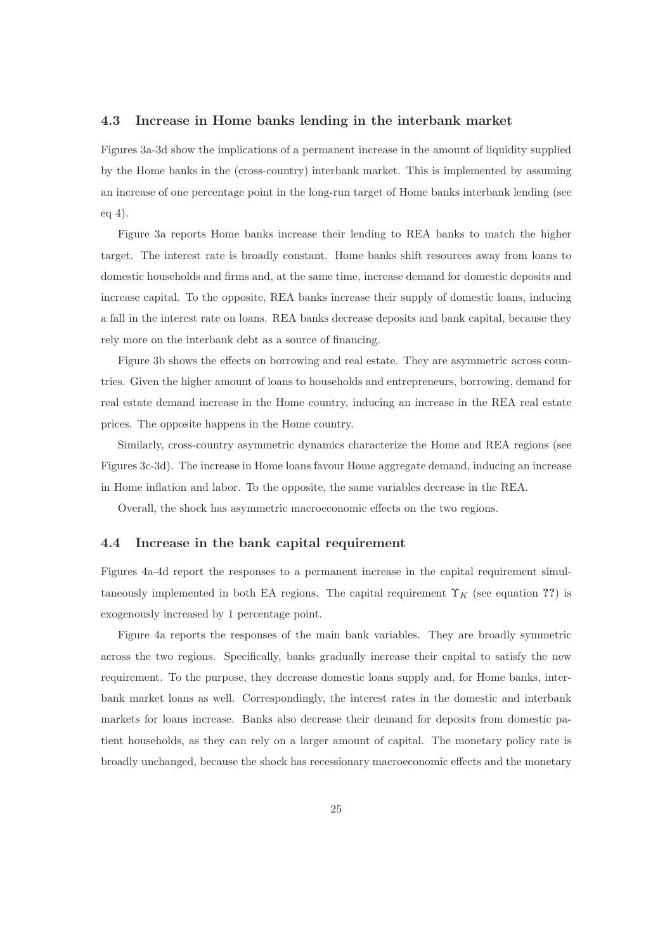#### 4.3 Increase in Home banks lending in the interbank market

Figures 3a-3d show the implications of a permanent increase in the amount of liquidity supplied by the Home banks in the (cross-country) interbank market. This is implemented by assuming an increase of one percentage point in the long-run target of Home banks interbank lending (see eq 4).

Figure 3a reports Home banks increase their lending to REA banks to match the higher target. The interest rate is broadly constant. Home banks shift resources away from loans to domestic households and firms and, at the same time, increase demand for domestic deposits and increase capital. To the opposite, REA banks increase their supply of domestic loans, inducing a fall in the interest rate on loans. REA banks decrease deposits and bank capital, because they rely more on the interbank debt as a source of financing.

Figure 3b shows the effects on borrowing and real estate. They are asymmetric across countries. Given the higher amount of loans to households and entrepreneurs, borrowing, demand for real estate demand increase in the Home country, inducing an increase in the REA real estate prices. The opposite happens in the Home country.

Similarly, cross-country asymmetric dynamics characterize the Home and REA regions (see Figures 3c-3d). The increase in Home loans favour Home aggregate demand, inducing an increase in Home inflation and labor. To the opposite, the same variables decrease in the REA.

Overall, the shock has asymmetric macroeconomic effects on the two regions.

#### 4.4 Increase in the bank capital requirement

Figures 4a-4d report the responses to a permanent increase in the capital requirement simultaneously implemented in both EA regions. The capital requirement  $\Upsilon_K$  (see equation ??) is exogenously increased by 1 percentage point.

Figure 4a reports the responses of the main bank variables. They are broadly symmetric across the two regions. Specifically, banks gradually increase their capital to satisfy the new requirement. To the purpose, they decrease domestic loans supply and, for Home banks, interbank market loans as well. Correspondingly, the interest rates in the domestic and interbank markets for loans increase. Banks also decrease their demand for deposits from domestic patient households, as they can rely on a larger amount of capital. The monetary policy rate is broadly unchanged, because the shock has recessionary macroeconomic effects and the monetary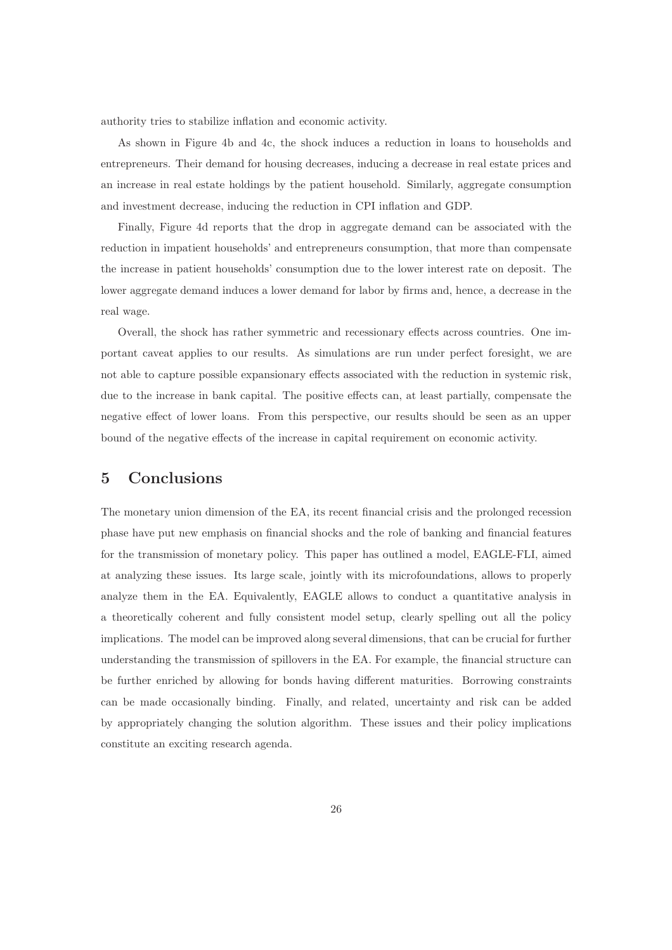authority tries to stabilize inflation and economic activity.

As shown in Figure 4b and 4c, the shock induces a reduction in loans to households and entrepreneurs. Their demand for housing decreases, inducing a decrease in real estate prices and an increase in real estate holdings by the patient household. Similarly, aggregate consumption and investment decrease, inducing the reduction in CPI inflation and GDP.

Finally, Figure 4d reports that the drop in aggregate demand can be associated with the reduction in impatient households' and entrepreneurs consumption, that more than compensate the increase in patient households' consumption due to the lower interest rate on deposit. The lower aggregate demand induces a lower demand for labor by firms and, hence, a decrease in the real wage.

Overall, the shock has rather symmetric and recessionary effects across countries. One important caveat applies to our results. As simulations are run under perfect foresight, we are not able to capture possible expansionary effects associated with the reduction in systemic risk, due to the increase in bank capital. The positive effects can, at least partially, compensate the negative effect of lower loans. From this perspective, our results should be seen as an upper bound of the negative effects of the increase in capital requirement on economic activity.

## 5 Conclusions

The monetary union dimension of the EA, its recent financial crisis and the prolonged recession phase have put new emphasis on financial shocks and the role of banking and financial features for the transmission of monetary policy. This paper has outlined a model, EAGLE-FLI, aimed at analyzing these issues. Its large scale, jointly with its microfoundations, allows to properly analyze them in the EA. Equivalently, EAGLE allows to conduct a quantitative analysis in a theoretically coherent and fully consistent model setup, clearly spelling out all the policy implications. The model can be improved along several dimensions, that can be crucial for further understanding the transmission of spillovers in the EA. For example, the financial structure can be further enriched by allowing for bonds having different maturities. Borrowing constraints can be made occasionally binding. Finally, and related, uncertainty and risk can be added by appropriately changing the solution algorithm. These issues and their policy implications constitute an exciting research agenda.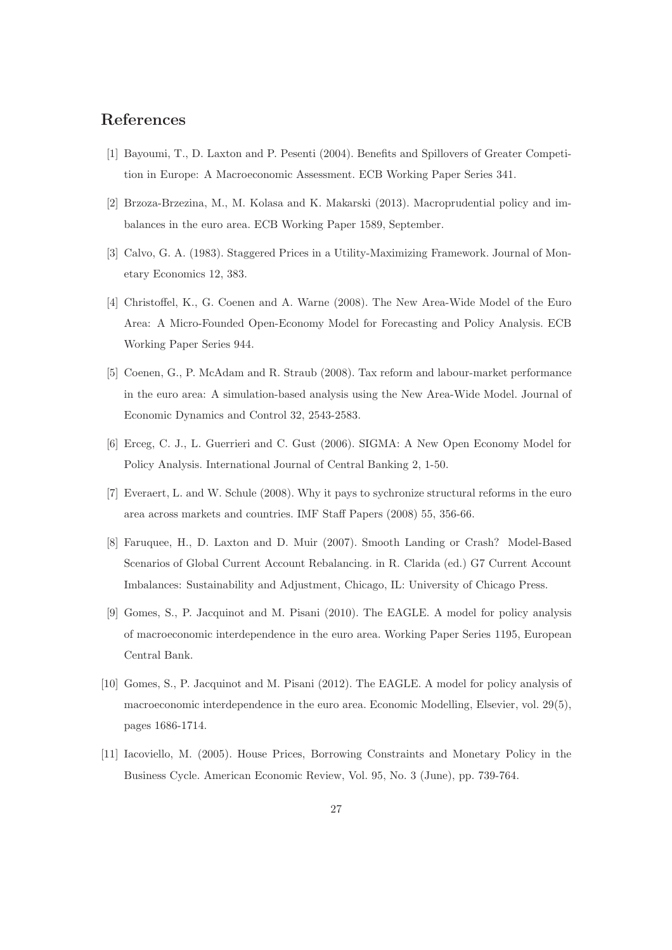## References

- [1] Bayoumi, T., D. Laxton and P. Pesenti (2004). Benefits and Spillovers of Greater Competition in Europe: A Macroeconomic Assessment. ECB Working Paper Series 341.
- [2] Brzoza-Brzezina, M., M. Kolasa and K. Makarski (2013). Macroprudential policy and imbalances in the euro area. ECB Working Paper 1589, September.
- [3] Calvo, G. A. (1983). Staggered Prices in a Utility-Maximizing Framework. Journal of Monetary Economics 12, 383.
- [4] Christoffel, K., G. Coenen and A. Warne (2008). The New Area-Wide Model of the Euro Area: A Micro-Founded Open-Economy Model for Forecasting and Policy Analysis. ECB Working Paper Series 944.
- [5] Coenen, G., P. McAdam and R. Straub (2008). Tax reform and labour-market performance in the euro area: A simulation-based analysis using the New Area-Wide Model. Journal of Economic Dynamics and Control 32, 2543-2583.
- [6] Erceg, C. J., L. Guerrieri and C. Gust (2006). SIGMA: A New Open Economy Model for Policy Analysis. International Journal of Central Banking 2, 1-50.
- [7] Everaert, L. and W. Schule (2008). Why it pays to sychronize structural reforms in the euro area across markets and countries. IMF Staff Papers (2008) 55, 356-66.
- [8] Faruquee, H., D. Laxton and D. Muir (2007). Smooth Landing or Crash? Model-Based Scenarios of Global Current Account Rebalancing. in R. Clarida (ed.) G7 Current Account Imbalances: Sustainability and Adjustment, Chicago, IL: University of Chicago Press.
- [9] Gomes, S., P. Jacquinot and M. Pisani (2010). The EAGLE. A model for policy analysis of macroeconomic interdependence in the euro area. Working Paper Series 1195, European Central Bank.
- [10] Gomes, S., P. Jacquinot and M. Pisani (2012). The EAGLE. A model for policy analysis of macroeconomic interdependence in the euro area. Economic Modelling, Elsevier, vol. 29(5), pages 1686-1714.
- [11] Iacoviello, M. (2005). House Prices, Borrowing Constraints and Monetary Policy in the Business Cycle. American Economic Review, Vol. 95, No. 3 (June), pp. 739-764.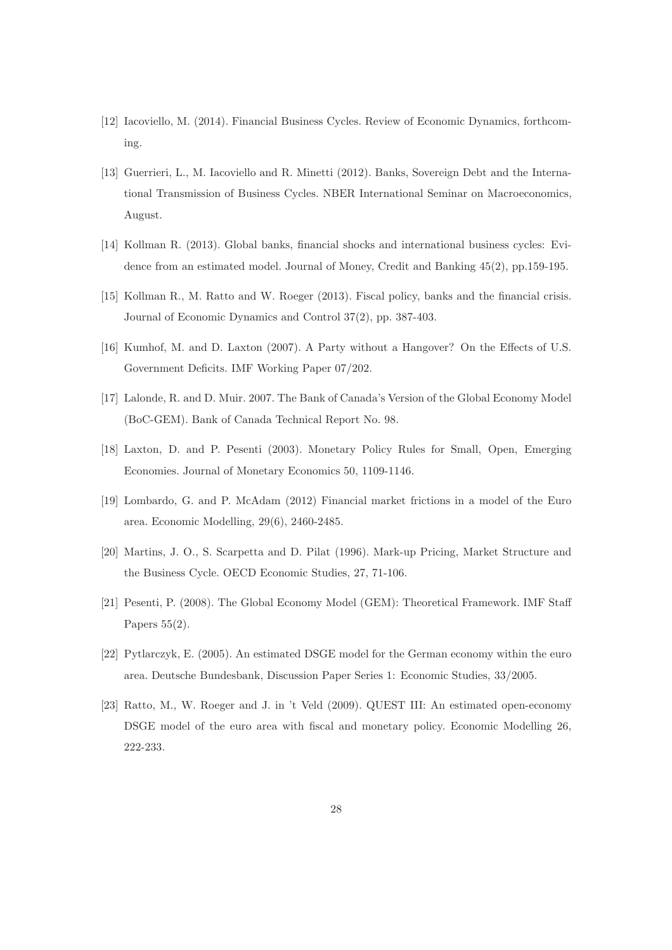- [12] Iacoviello, M. (2014). Financial Business Cycles. Review of Economic Dynamics, forthcoming.
- [13] Guerrieri, L., M. Iacoviello and R. Minetti (2012). Banks, Sovereign Debt and the International Transmission of Business Cycles. NBER International Seminar on Macroeconomics, August.
- [14] Kollman R. (2013). Global banks, financial shocks and international business cycles: Evidence from an estimated model. Journal of Money, Credit and Banking 45(2), pp.159-195.
- [15] Kollman R., M. Ratto and W. Roeger (2013). Fiscal policy, banks and the financial crisis. Journal of Economic Dynamics and Control 37(2), pp. 387-403.
- [16] Kumhof, M. and D. Laxton (2007). A Party without a Hangover? On the Effects of U.S. Government Deficits. IMF Working Paper 07/202.
- [17] Lalonde, R. and D. Muir. 2007. The Bank of Canada's Version of the Global Economy Model (BoC-GEM). Bank of Canada Technical Report No. 98.
- [18] Laxton, D. and P. Pesenti (2003). Monetary Policy Rules for Small, Open, Emerging Economies. Journal of Monetary Economics 50, 1109-1146.
- [19] Lombardo, G. and P. McAdam (2012) Financial market frictions in a model of the Euro area. Economic Modelling, 29(6), 2460-2485.
- [20] Martins, J. O., S. Scarpetta and D. Pilat (1996). Mark-up Pricing, Market Structure and the Business Cycle. OECD Economic Studies, 27, 71-106.
- [21] Pesenti, P. (2008). The Global Economy Model (GEM): Theoretical Framework. IMF Staff Papers  $55(2)$ .
- [22] Pytlarczyk, E. (2005). An estimated DSGE model for the German economy within the euro area. Deutsche Bundesbank, Discussion Paper Series 1: Economic Studies, 33/2005.
- [23] Ratto, M., W. Roeger and J. in 't Veld (2009). QUEST III: An estimated open-economy DSGE model of the euro area with fiscal and monetary policy. Economic Modelling 26, 222-233.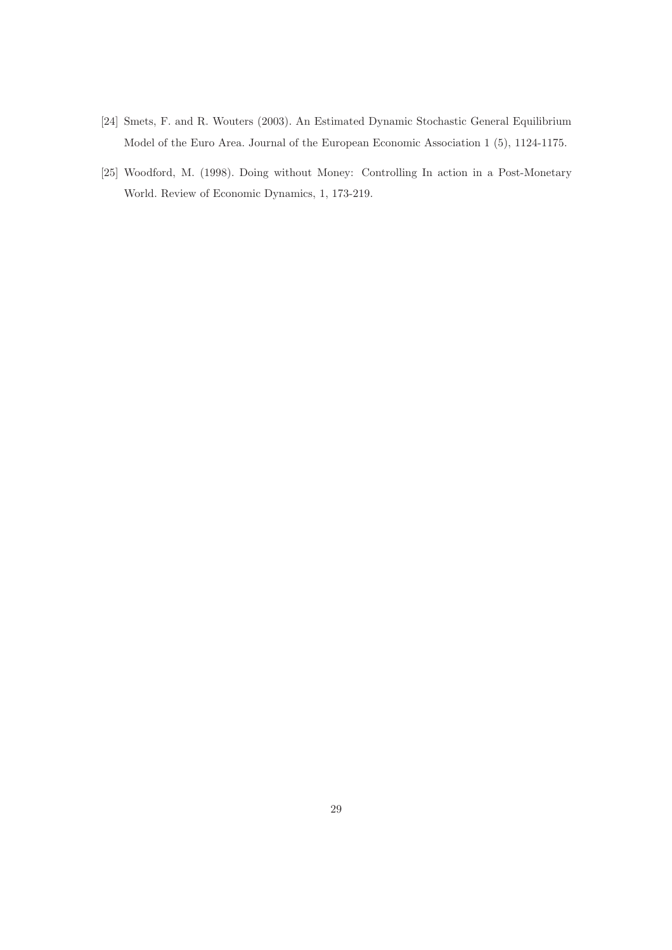- [24] Smets, F. and R. Wouters (2003). An Estimated Dynamic Stochastic General Equilibrium Model of the Euro Area. Journal of the European Economic Association 1 (5), 1124-1175.
- [25] Woodford, M. (1998). Doing without Money: Controlling In action in a Post-Monetary World. Review of Economic Dynamics, 1, 173-219.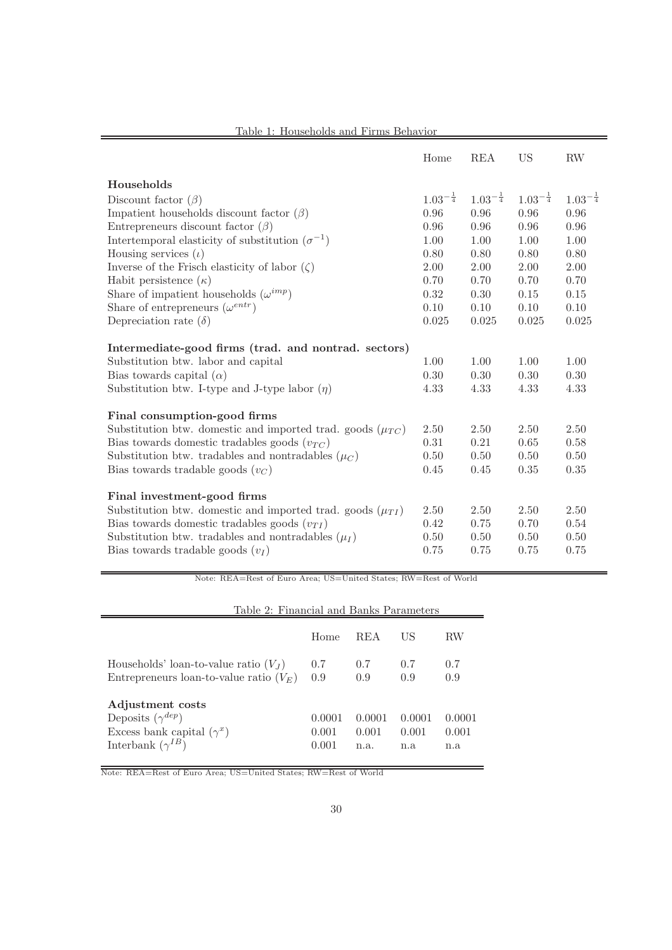|                                                                  | Home                  | <b>REA</b>            | <b>US</b>             | <b>RW</b>             |
|------------------------------------------------------------------|-----------------------|-----------------------|-----------------------|-----------------------|
| Households                                                       |                       |                       |                       |                       |
| Discount factor $(\beta)$                                        | $1.03^{-\frac{1}{4}}$ | $1.03^{-\frac{1}{4}}$ | $1.03^{-\frac{1}{4}}$ | $1.03^{-\frac{1}{4}}$ |
| Impatient households discount factor $(\beta)$                   | 0.96                  | 0.96                  | 0.96                  | 0.96                  |
| Entrepreneurs discount factor $(\beta)$                          | 0.96                  | 0.96                  | 0.96                  | 0.96                  |
| Intertemporal elasticity of substitution $(\sigma^{-1})$         | 1.00                  | 1.00                  | 1.00                  | 1.00                  |
| Housing services $(\iota)$                                       | 0.80                  | 0.80                  | 0.80                  | 0.80                  |
| Inverse of the Frisch elasticity of labor $(\zeta)$              | 2.00                  | 2.00                  | 2.00                  | 2.00                  |
| Habit persistence $(\kappa)$                                     | 0.70                  | 0.70                  | 0.70                  | 0.70                  |
| Share of impatient households $(\omega^{imp})$                   | 0.32                  | 0.30                  | 0.15                  | 0.15                  |
| Share of entrepreneurs $(\omega^{entr})$                         | 0.10                  | 0.10                  | 0.10                  | 0.10                  |
| Depreciation rate $(\delta)$                                     | 0.025                 | 0.025                 | 0.025                 | 0.025                 |
| Intermediate-good firms (trad. and nontrad. sectors)             |                       |                       |                       |                       |
| Substitution btw. labor and capital                              | 1.00                  | 1.00                  | 1.00                  | 1.00                  |
| Bias towards capital $(\alpha)$                                  | 0.30                  | 0.30                  | 0.30                  | 0.30                  |
| Substitution btw. I-type and J-type labor $(\eta)$               | 4.33                  | 4.33                  | 4.33                  | 4.33                  |
| Final consumption-good firms                                     |                       |                       |                       |                       |
| Substitution btw. domestic and imported trad. goods $(\mu_{TC})$ | 2.50                  | 2.50                  | 2.50                  | 2.50                  |
| Bias towards domestic tradables goods $(v_{TC})$                 | 0.31                  | 0.21                  | 0.65                  | 0.58                  |
| Substitution btw. tradables and nontradables $(\mu_C)$           | 0.50                  | 0.50                  | 0.50                  | 0.50                  |
| Bias towards tradable goods $(v_C)$                              | 0.45                  | 0.45                  | 0.35                  | 0.35                  |
| Final investment-good firms                                      |                       |                       |                       |                       |
| Substitution btw. domestic and imported trad. goods $(\mu_{TI})$ | 2.50                  | 2.50                  | 2.50                  | 2.50                  |
| Bias towards domestic tradables goods $(v_{TI})$                 | 0.42                  | 0.75                  | 0.70                  | 0.54                  |
| Substitution btw. tradables and nontradables $(\mu_I)$           | 0.50                  | 0.50                  | 0.50                  | 0.50                  |
| Bias towards tradable goods $(v_I)$                              | 0.75                  | 0.75                  | 0.75                  | 0.75                  |

Table 1: Households and Firms Behavior

Note: REA=Rest of Euro Area; US=United States; RW=Rest of World

| Table 2: Financial and Banks Parameters                                                                        |                          |                         |                        |                        |  |  |
|----------------------------------------------------------------------------------------------------------------|--------------------------|-------------------------|------------------------|------------------------|--|--|
|                                                                                                                | Home                     | <b>REA</b>              | US                     | RW                     |  |  |
| Households' loan-to-value ratio $(V_J)$<br>Entrepreneurs loan-to-value ratio $(V_E)$                           | 0.7<br>0.9               | 0.7<br>0.9              | 0.7<br>0.9             | 0.7<br>0.9             |  |  |
| Adjustment costs<br>Deposits $(\gamma^{dep})$<br>Excess bank capital $(\gamma^x)$<br>Interbank $(\gamma^{IB})$ | 0.0001<br>0.001<br>0.001 | 0.0001<br>0.001<br>n.a. | 0.0001<br>0.001<br>n.a | 0.0001<br>0.001<br>n.a |  |  |

Note: REA=Rest of Euro Area; US=United States; RW=Rest of World

-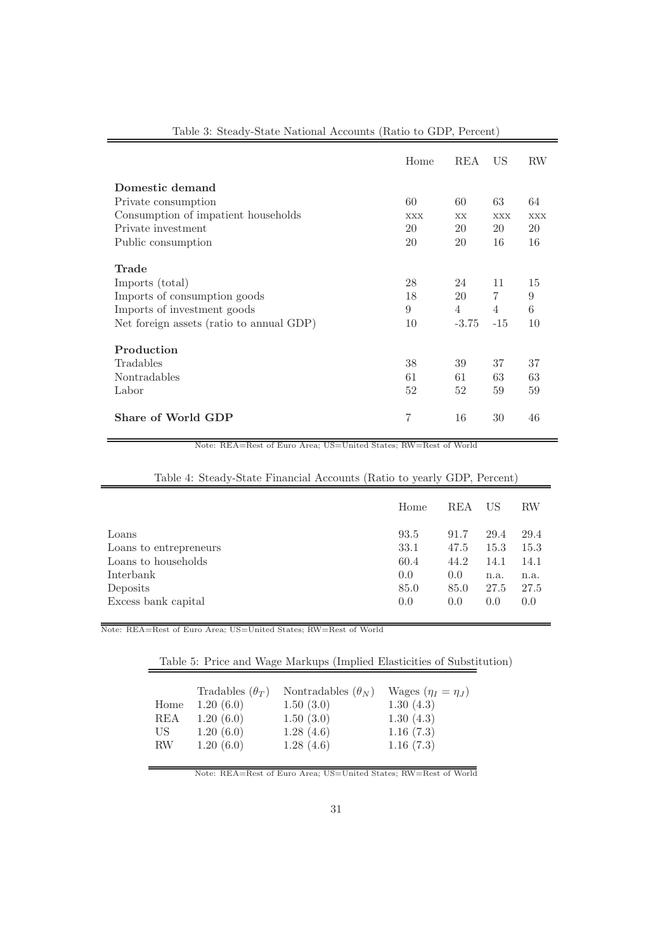|                                          | Home       | REA       | US             | RW         |
|------------------------------------------|------------|-----------|----------------|------------|
| Domestic demand                          |            |           |                |            |
| Private consumption                      | 60         | 60        | 63             | 64         |
| Consumption of impatient households      | <b>XXX</b> | <b>XX</b> | <b>XXX</b>     | <b>XXX</b> |
| Private investment                       | 20         | 20        | 20             | 20         |
| Public consumption                       | 20         | 20        | 16             | 16         |
| <b>Trade</b>                             |            |           |                |            |
| Imports (total)                          | 28         | 24        | 11             | 15         |
| Imports of consumption goods             | 18         | 20        | $\overline{7}$ | 9          |
| Imports of investment goods              | 9          | 4         | $\overline{4}$ | 6          |
| Net foreign assets (ratio to annual GDP) | 10         | $-3.75$   | $-15$          | 10         |
| Production                               |            |           |                |            |
| Tradables                                | 38         | 39        | 37             | 37         |
| Nontradables                             | 61         | 61        | 63             | 63         |
| Labor                                    | 52         | 52        | 59             | 59         |
| Share of World GDP                       | 7          | 16        | 30             | 46         |

#### Table 3: Steady-State National Accounts (Ratio to GDP, Percent)

Note: REA=Rest of Euro Area; US=United States; RW=Rest of World

|                        | Home | REA  | US   | RW   |
|------------------------|------|------|------|------|
| Loans                  | 93.5 | 91.7 | 29.4 | 29.4 |
| Loans to entrepreneurs | 33.1 | 47.5 | 15.3 | 15.3 |
| Loans to households    | 60.4 | 44.2 | 14.1 | 14.1 |
| Interbank              | 0.0  | 0.0  | n.a. | n.a. |
| Deposits               | 85.0 | 85.0 | 27.5 | 27.5 |
| Excess bank capital    | 0.0  | 0.0  | 0.0  | 0.0  |

### Table 4: Steady-State Financial Accounts (Ratio to yearly GDP, Percent)

Note: REA=Rest of Euro Area; US=United States; RW=Rest of World

## Table 5: Price and Wage Markups (Implied Elasticities of Substitution)

|      | Tradables $(\theta_T)$ | Nontradables $(\theta_N)$ | Wages $(\eta_I = \eta_J)$ |
|------|------------------------|---------------------------|---------------------------|
| Home | 1.20(6.0)              | 1.50(3.0)                 | 1.30(4.3)                 |
| REA  | 1.20(6.0)              | 1.50(3.0)                 | 1.30(4.3)                 |
| US   | 1.20(6.0)              | 1.28(4.6)                 | 1.16(7.3)                 |
| RW   | 1.20(6.0)              | 1.28(4.6)                 | 1.16(7.3)                 |
|      |                        |                           |                           |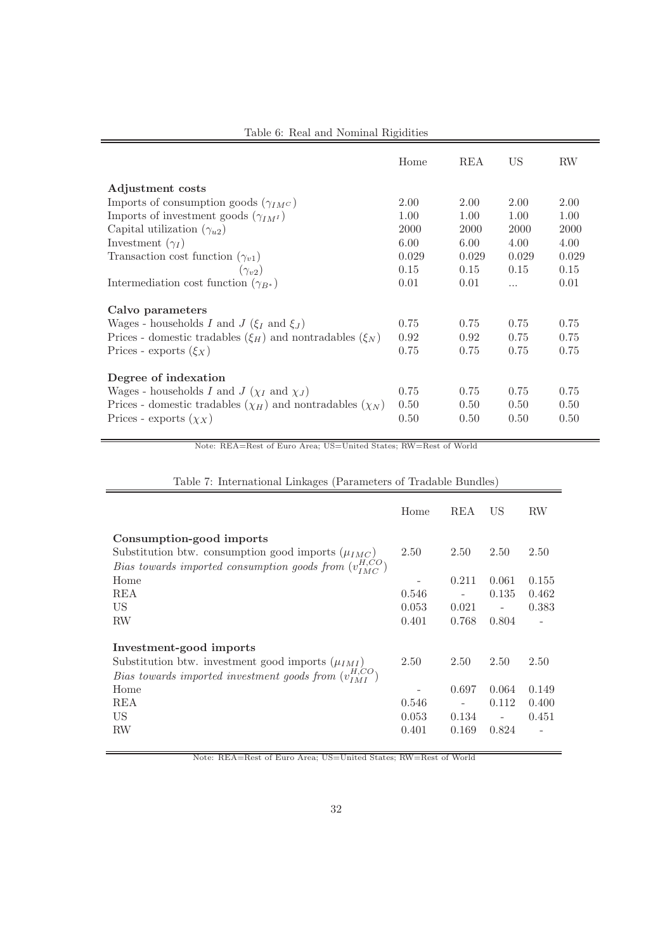|                                                                    | Home  | REA   | US       | RW    |
|--------------------------------------------------------------------|-------|-------|----------|-------|
| Adjustment costs                                                   |       |       |          |       |
| Imports of consumption goods $(\gamma_{IM}c)$                      | 2.00  | 2.00  | 2.00     | 2.00  |
| Imports of investment goods $(\gamma_{IMI})$                       | 1.00  | 1.00  | 1.00     | 1.00  |
| Capital utilization $(\gamma_{u2})$                                | 2000  | 2000  | 2000     | 2000  |
| Investment $(\gamma_I)$                                            | 6.00  | 6.00  | 4.00     | 4.00  |
| Transaction cost function $(\gamma_{v1})$                          | 0.029 | 0.029 | 0.029    | 0.029 |
| $(\gamma_{v2})$                                                    | 0.15  | 0.15  | 0.15     | 0.15  |
| Intermediation cost function $(\gamma_{B^*})$                      | 0.01  | 0.01  | $\cdots$ | 0.01  |
| Calvo parameters                                                   |       |       |          |       |
| Wages - households I and $J(\xi_I \text{ and } \xi_J)$             | 0.75  | 0.75  | 0.75     | 0.75  |
| Prices - domestic tradables $(\xi_H)$ and nontradables $(\xi_N)$   | 0.92  | 0.92  | 0.75     | 0.75  |
| Prices - exports $(\xi_X)$                                         | 0.75  | 0.75  | 0.75     | 0.75  |
| Degree of indexation                                               |       |       |          |       |
| Wages - households I and $J(\chi_I \text{ and } \chi_J)$           | 0.75  | 0.75  | 0.75     | 0.75  |
| Prices - domestic tradables $(\chi_H)$ and nontradables $(\chi_N)$ | 0.50  | 0.50  | 0.50     | 0.50  |
| Prices - exports $(\chi_X)$                                        | 0.50  | 0.50  | 0.50     | 0.50  |

Table 6: Real and Nominal Rigidities

Note: REA=Rest of Euro Area; US=United States; RW=Rest of World

|                                                                 | Home  | REA   | US                       | RW                       |
|-----------------------------------------------------------------|-------|-------|--------------------------|--------------------------|
| Consumption-good imports                                        |       |       |                          |                          |
| Substitution btw. consumption good imports $(\mu_{IMC})$        | 2.50  | 2.50  | 2.50                     | 2.50                     |
| Bias towards imported consumption goods from $(v_{IMC}^{H,CO})$ |       |       |                          |                          |
| Home                                                            |       | 0.211 | 0.061                    | 0.155                    |
| REA                                                             | 0.546 |       | 0.135                    | 0.462                    |
| US                                                              | 0.053 | 0.021 | $\overline{\phantom{a}}$ | 0.383                    |
| RW                                                              | 0.401 | 0.768 | 0.804                    | $\overline{\phantom{a}}$ |
| Investment-good imports                                         |       |       |                          |                          |
| Substitution btw. investment good imports $(\mu_{IMI})$         | 2.50  | 2.50  | 2.50                     | 2.50                     |
| Bias towards imported investment goods from $(v_{IMT}^{H,CO})$  |       |       |                          |                          |
| Home                                                            |       | 0.697 | 0.064                    | 0.149                    |
| REA                                                             | 0.546 |       | 0.112                    | 0.400                    |
| US                                                              | 0.053 | 0.134 | $\overline{\phantom{a}}$ | 0.451                    |
| RW                                                              | 0.401 | 0.169 | 0.824                    |                          |

Table 7: International Linkages (Parameters of Tradable Bundles)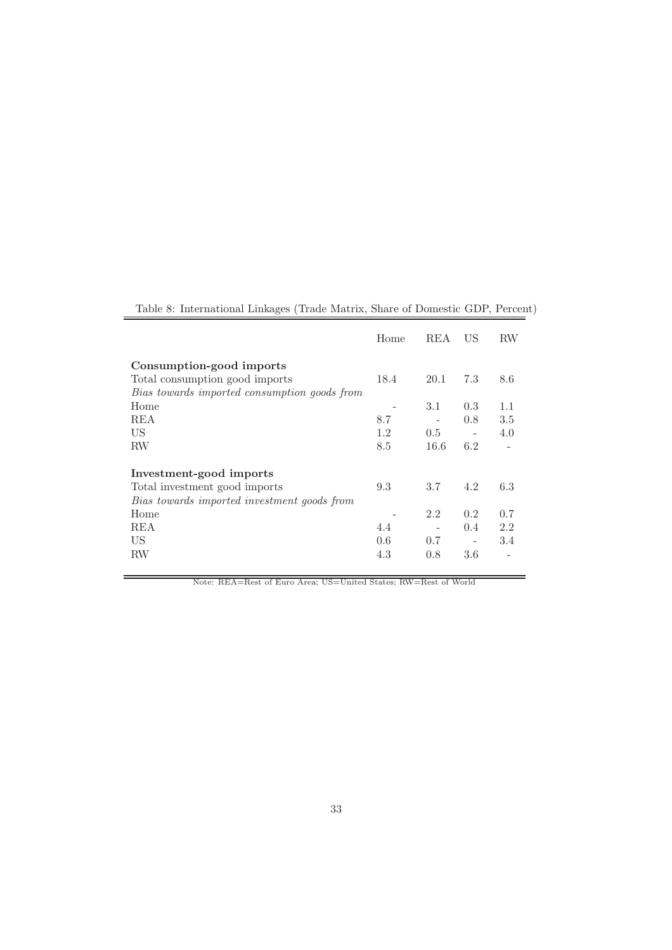| Table 8: International Linkages (Trade Matrix, Share of Domestic GDP, Percent) |  |  |
|--------------------------------------------------------------------------------|--|--|
|                                                                                |  |  |

|                                              | Home | REA  | US            | <b>RW</b> |
|----------------------------------------------|------|------|---------------|-----------|
| Consumption-good imports                     |      |      |               |           |
| Total consumption good imports               | 18.4 | 20.1 | 7.3           | 8.6       |
| Bias towards imported consumption goods from |      |      |               |           |
| Home                                         |      | 3.1  | 0.3           | 1.1       |
| <b>REA</b>                                   | 8.7  |      | 0.8           | 3.5       |
| US                                           | 1.2  | 0.5  |               | 4.0       |
| <b>RW</b>                                    | 8.5  | 16.6 | 6.2           |           |
| Investment-good imports                      |      |      |               |           |
| Total investment good imports                | 9.3  | 3.7  | 4.2           | 6.3       |
| Bias towards imported investment goods from  |      |      |               |           |
| Home                                         |      | 2.2  | 0.2           | 0.7       |
| <b>REA</b>                                   | 4.4  |      | $0.4^{\circ}$ | 2.2       |
| US                                           | 0.6  | 0.7  |               | 3.4       |
| RW                                           | 4.3  | 0.8  | 3.6           |           |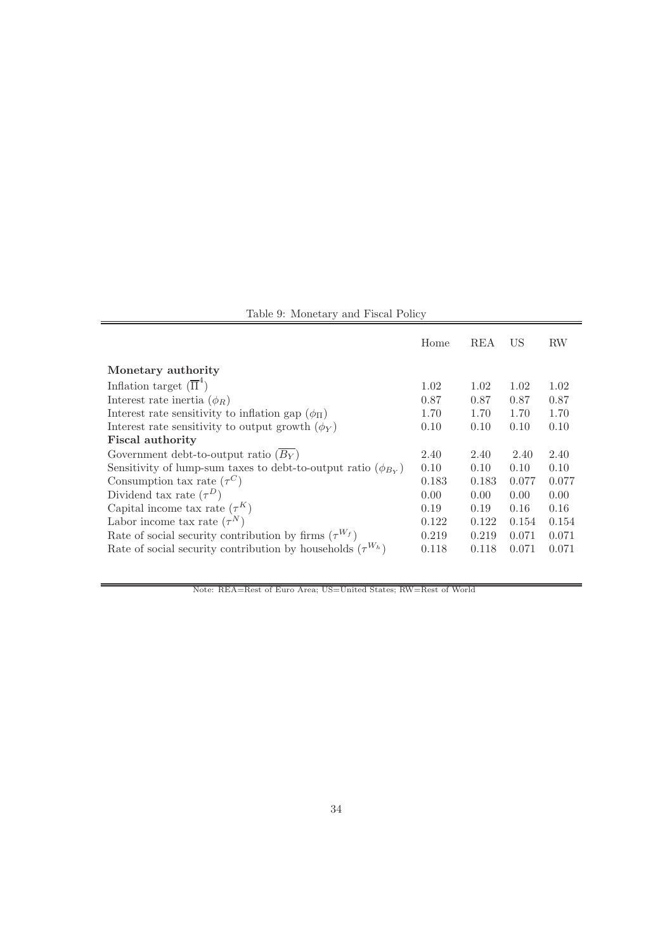| Table 9: Monetary and Fiscal Policy |  |  |  |
|-------------------------------------|--|--|--|
|-------------------------------------|--|--|--|

|                                                                      | Home  | REA   | US    | RW    |
|----------------------------------------------------------------------|-------|-------|-------|-------|
| Monetary authority                                                   |       |       |       |       |
| Inflation target $(\overline{\Pi}^4)$                                | 1.02  | 1.02  | 1.02  | 1.02  |
| Interest rate inertia $(\phi_R)$                                     | 0.87  | 0.87  | 0.87  | 0.87  |
| Interest rate sensitivity to inflation gap $(\phi_{\Pi})$            | 1.70  | 1.70  | 1.70  | 1.70  |
| Interest rate sensitivity to output growth $(\phi_Y)$                | 0.10  | 0.10  | 0.10  | 0.10  |
| <b>Fiscal authority</b>                                              |       |       |       |       |
| Government debt-to-output ratio $(B_Y)$                              | 2.40  | 2.40  | 2.40  | 2.40  |
| Sensitivity of lump-sum taxes to debt-to-output ratio $(\phi_{B_Y})$ | 0.10  | 0.10  | 0.10  | 0.10  |
| Consumption tax rate $(\tau^C)$                                      | 0.183 | 0.183 | 0.077 | 0.077 |
| Dividend tax rate $(\tau^D)$                                         | 0.00  | 0.00  | 0.00  | 0.00  |
| Capital income tax rate $(\tau^K)$                                   | 0.19  | 0.19  | 0.16  | 0.16  |
| Labor income tax rate $(\tau^N)$                                     | 0.122 | 0.122 | 0.154 | 0.154 |
| Rate of social security contribution by firms $(\tau^{W_f})$         | 0.219 | 0.219 | 0.071 | 0.071 |
| Rate of social security contribution by households $(\tau^{W_h})$    | 0.118 | 0.118 | 0.071 | 0.071 |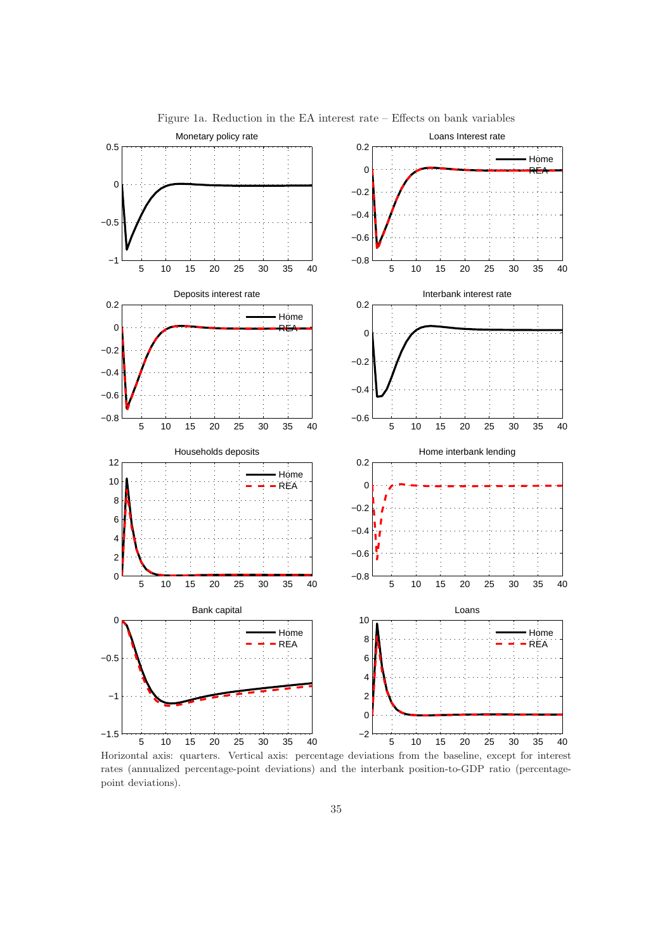

Figure 1a. Reduction in the EA interest rate – Effects on bank variables

Horizontal axis: quarters. Vertical axis: percentage deviations from the baseline, except for interest rates (annualized percentage-point deviations) and the interbank position-to-GDP ratio (percentagepoint deviations).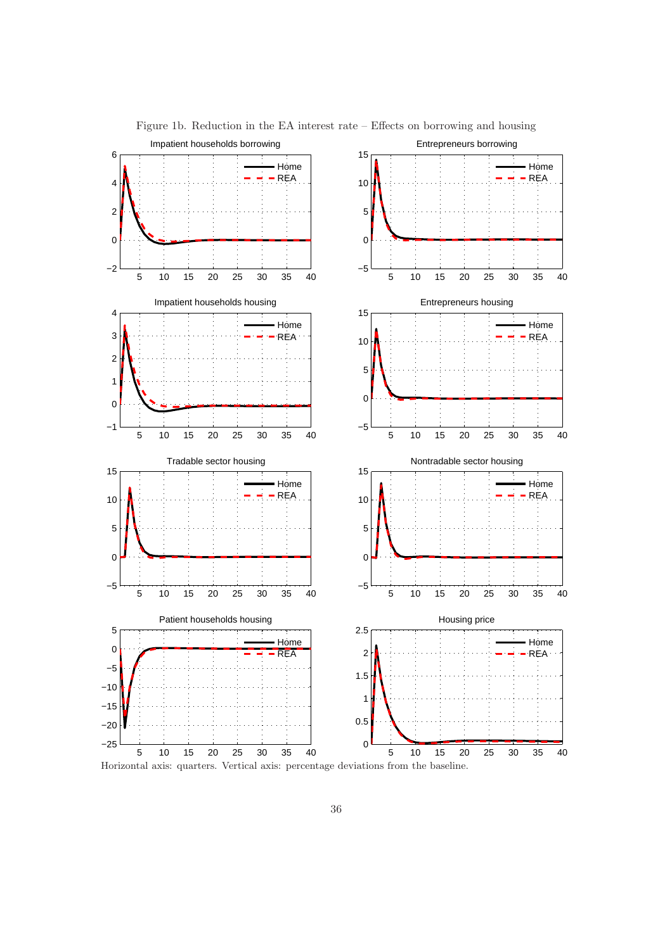

Figure 1b. Reduction in the EA interest rate – Effects on borrowing and housing

Horizontal axis: quarters. Vertical axis: percentage deviations from the baseline.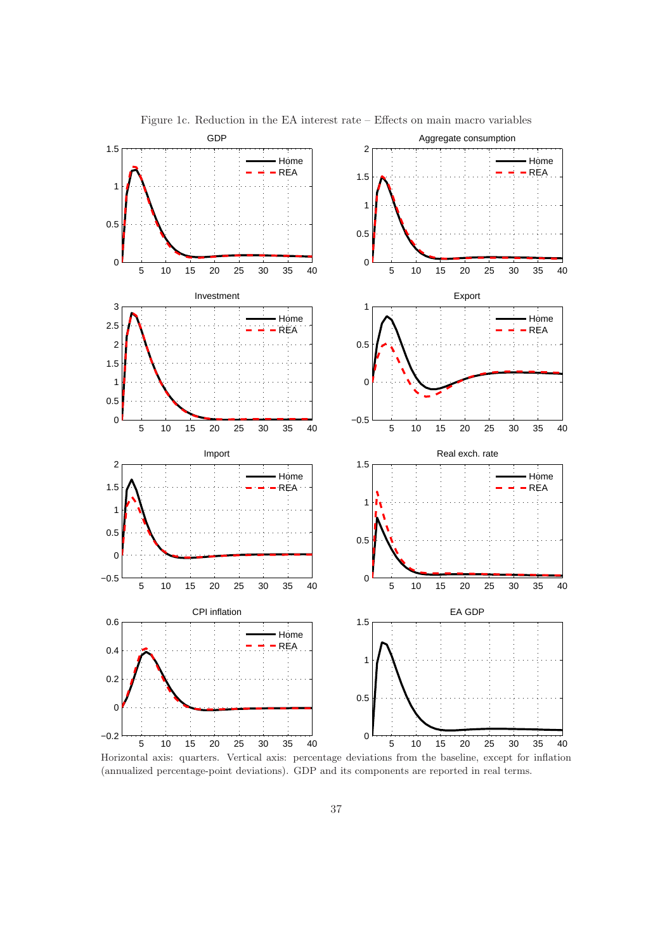

Figure 1c. Reduction in the EA interest rate – Effects on main macro variables

Horizontal axis: quarters. Vertical axis: percentage deviations from the baseline, except for inflation (annualized percentage-point deviations). GDP and its components are reported in real terms.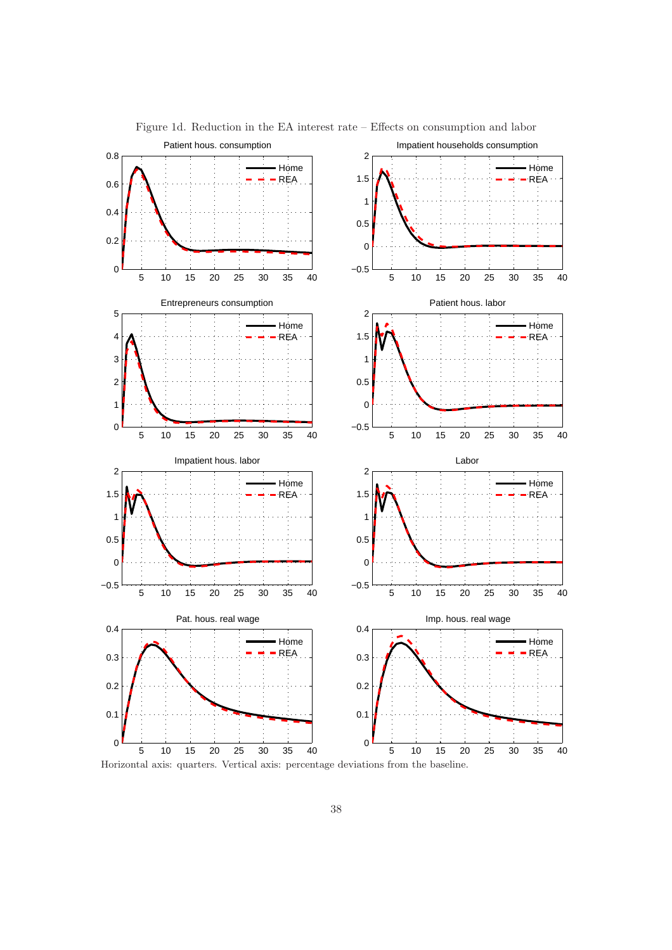

Figure 1d. Reduction in the EA interest rate – Effects on consumption and labor

38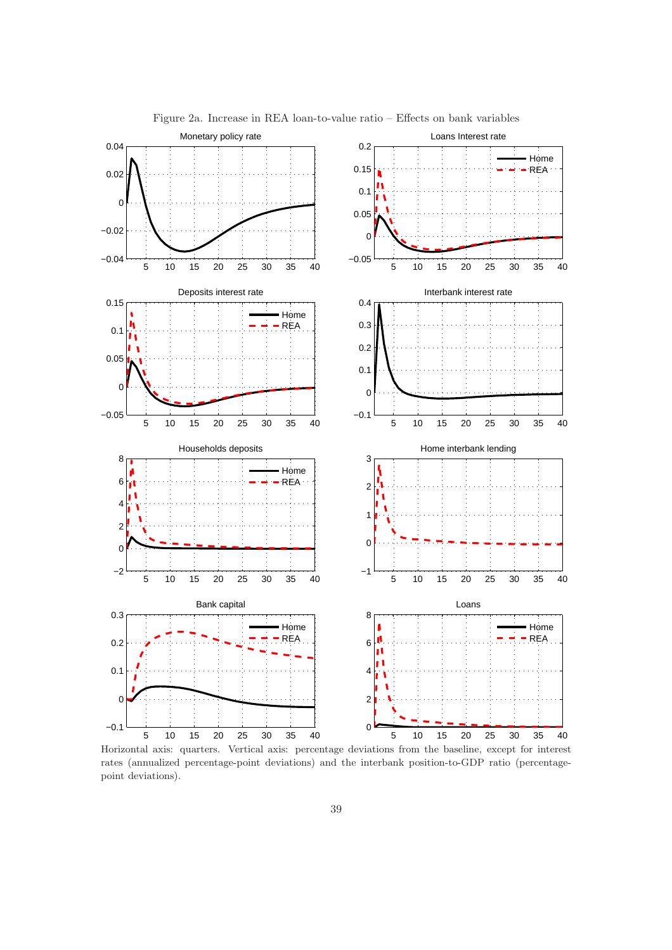

Figure 2a. Increase in REA loan-to-value ratio – Effects on bank variables

Horizontal axis: quarters. Vertical axis: percentage deviations from the baseline, except for interest rates (annualized percentage-point deviations) and the interbank position-to-GDP ratio (percentagepoint deviations).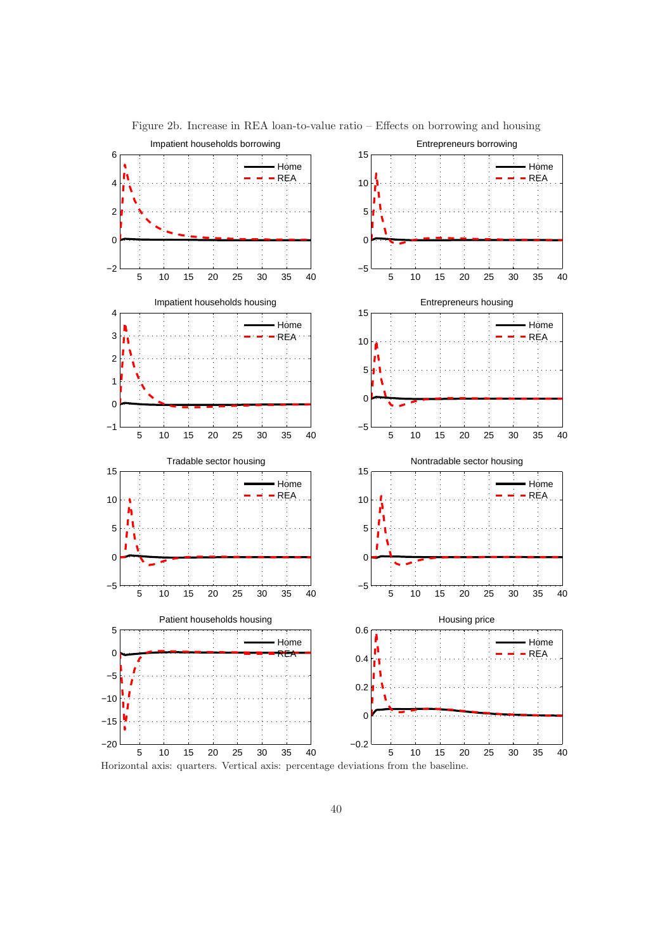

Figure 2b. Increase in REA loan-to-value ratio – Effects on borrowing and housing

40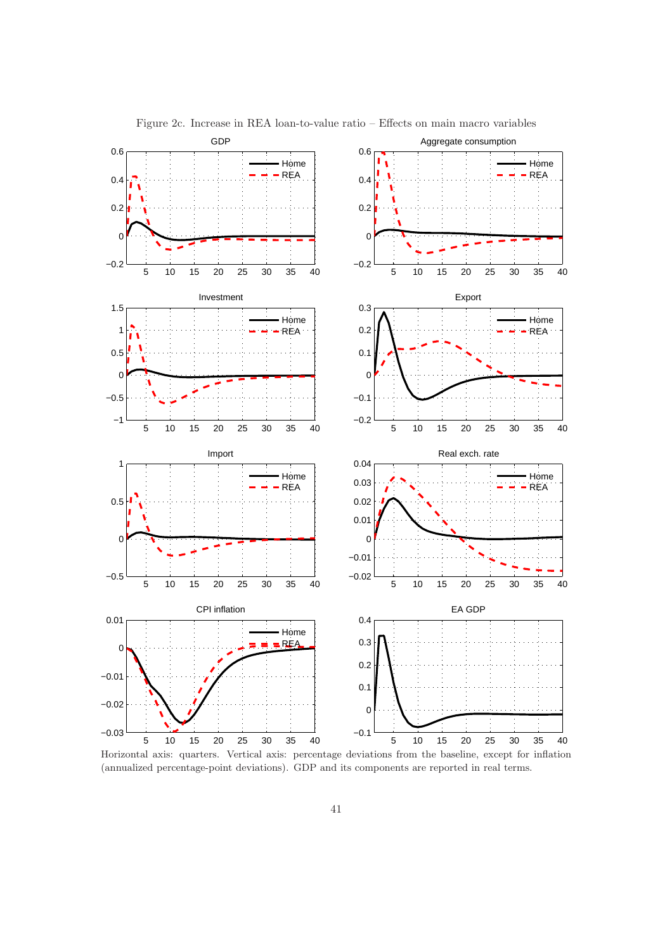

Figure 2c. Increase in REA loan-to-value ratio – Effects on main macro variables

Horizontal axis: quarters. Vertical axis: percentage deviations from the baseline, except for inflation (annualized percentage-point deviations). GDP and its components are reported in real terms.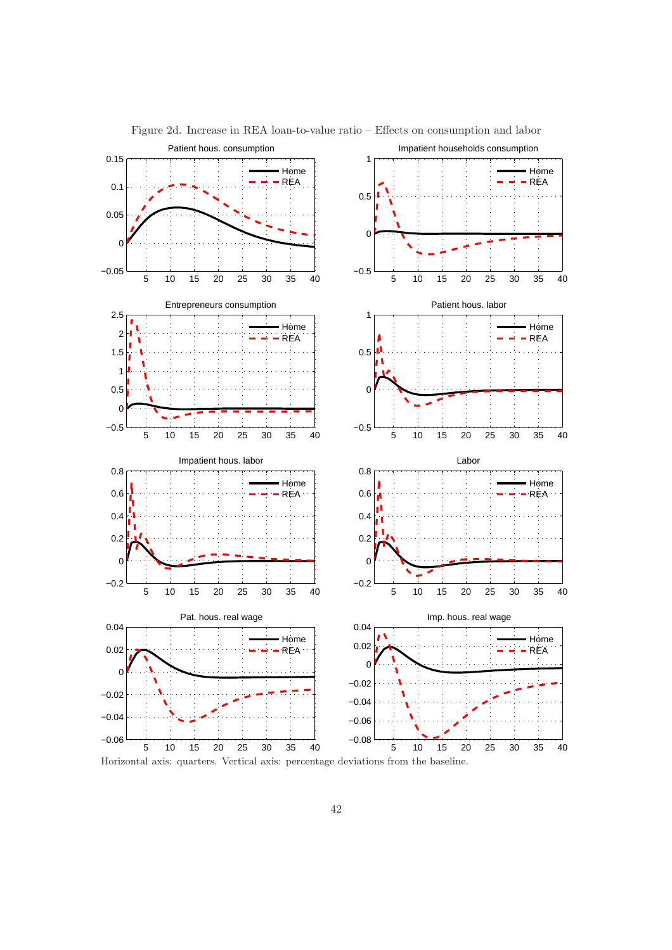

Figure 2d. Increase in REA loan-to-value ratio – Effects on consumption and labor

Horizontal axis: quarters. Vertical axis: percentage deviations from the baseline.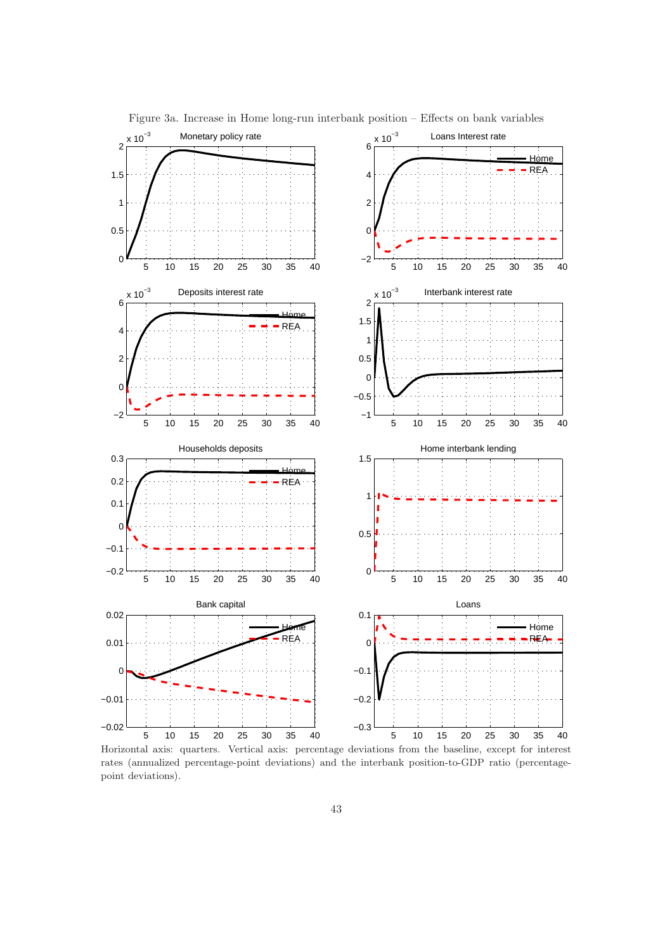

Figure 3a. Increase in Home long-run interbank position – Effects on bank variables

Horizontal axis: quarters. Vertical axis: percentage deviations from the baseline, except for interest rates (annualized percentage-point deviations) and the interbank position-to-GDP ratio (percentagepoint deviations).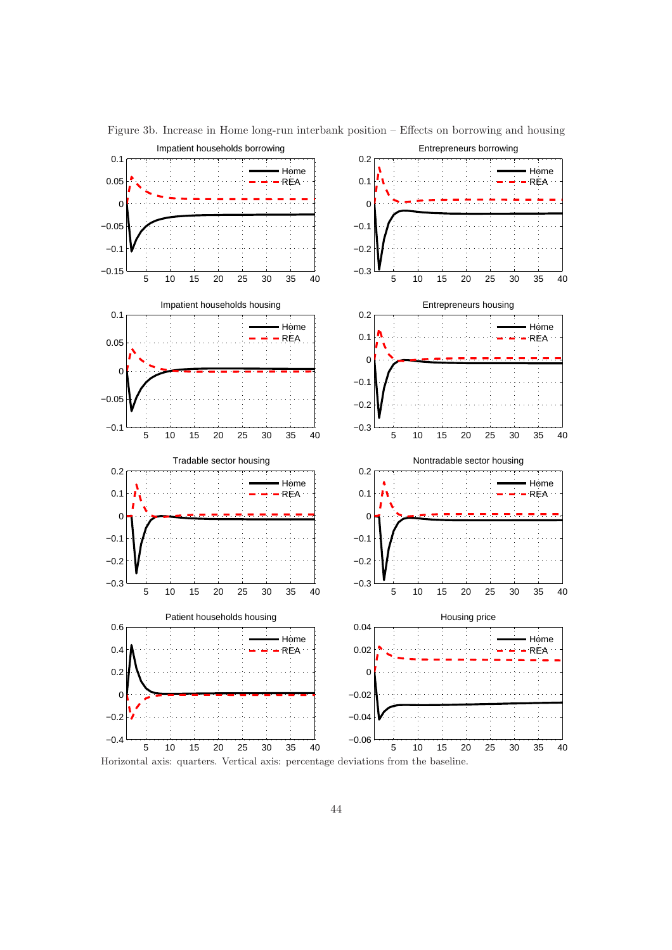

Figure 3b. Increase in Home long-run interbank position – Effects on borrowing and housing

Horizontal axis: quarters. Vertical axis: percentage deviations from the baseline.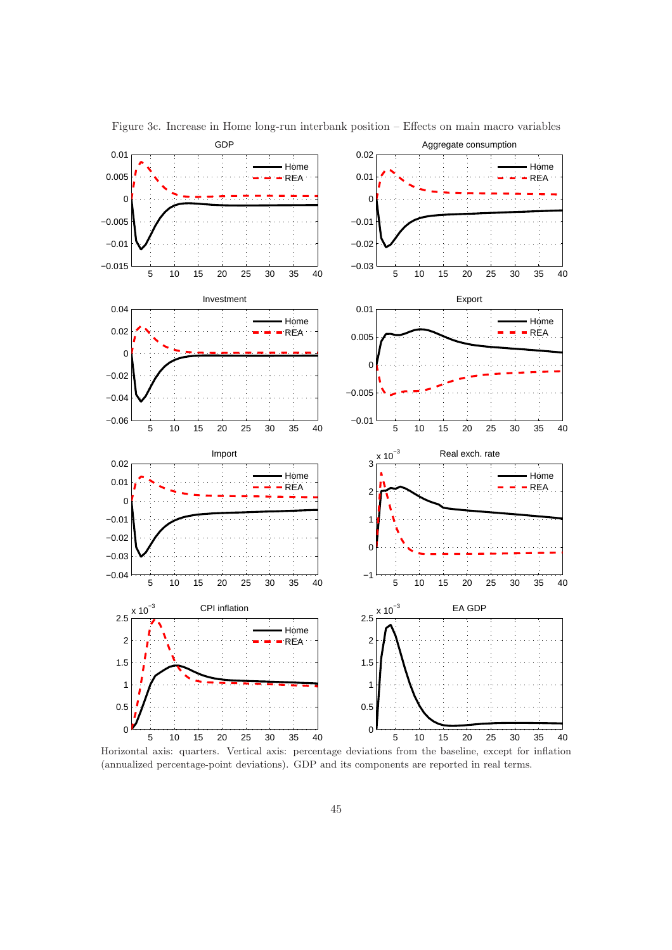

Figure 3c. Increase in Home long-run interbank position – Effects on main macro variables

Horizontal axis: quarters. Vertical axis: percentage deviations from the baseline, except for inflation (annualized percentage-point deviations). GDP and its components are reported in real terms.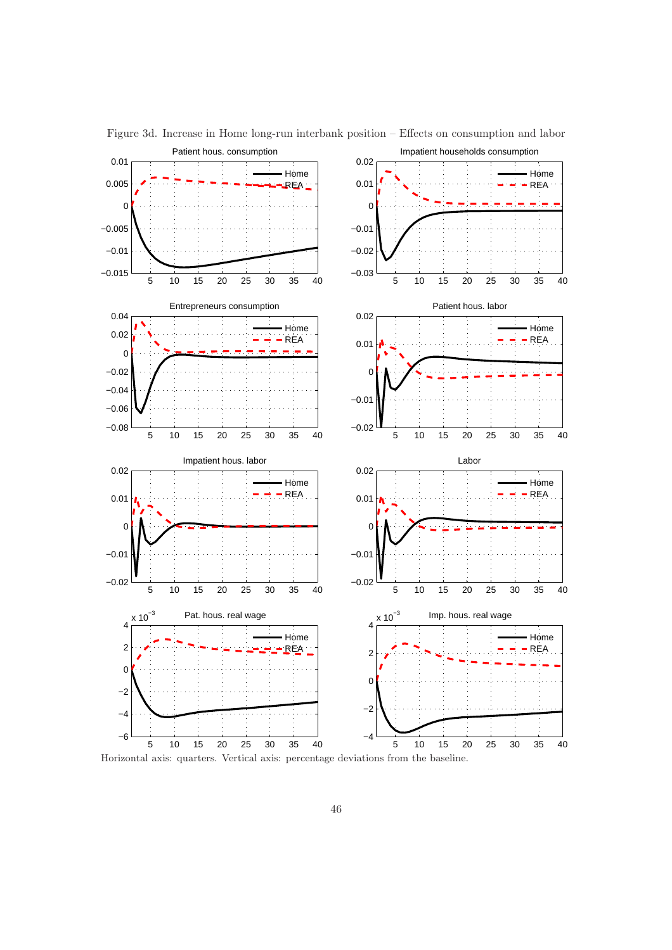

Figure 3d. Increase in Home long-run interbank position – Effects on consumption and labor

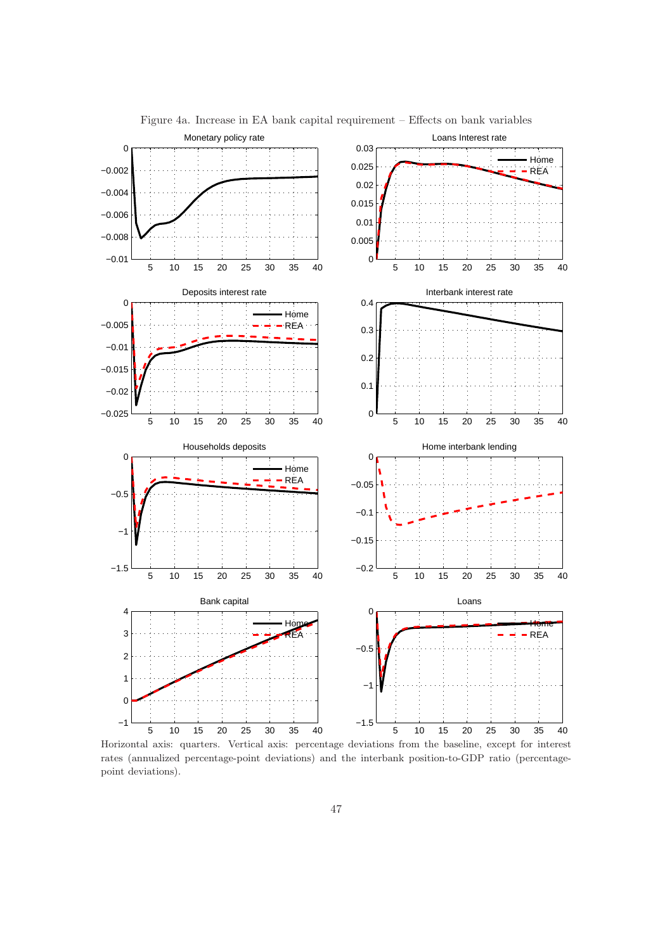

Figure 4a. Increase in EA bank capital requirement – Effects on bank variables

Horizontal axis: quarters. Vertical axis: percentage deviations from the baseline, except for interest rates (annualized percentage-point deviations) and the interbank position-to-GDP ratio (percentagepoint deviations).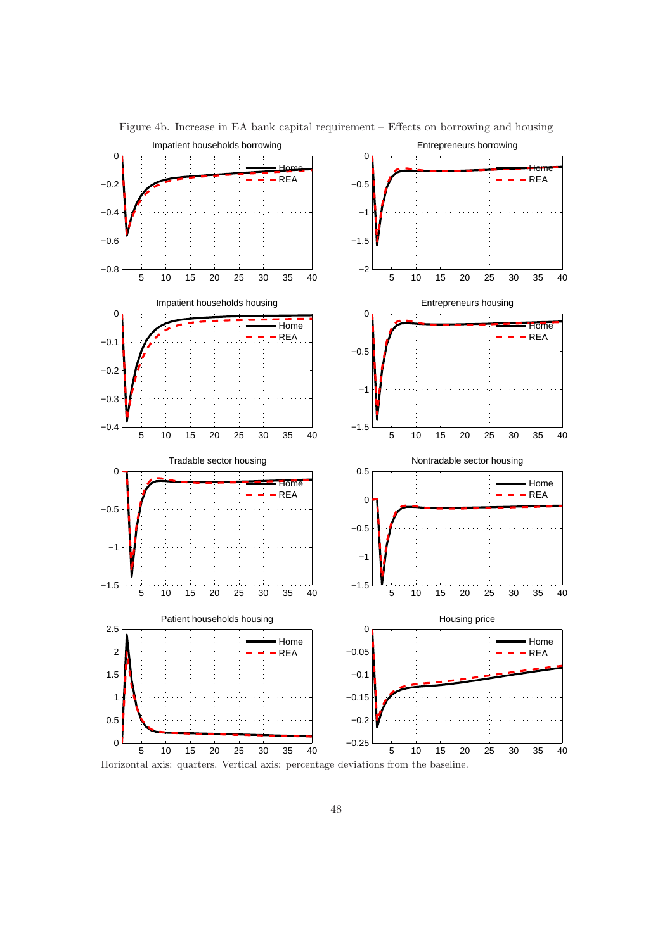

Figure 4b. Increase in EA bank capital requirement – Effects on borrowing and housing

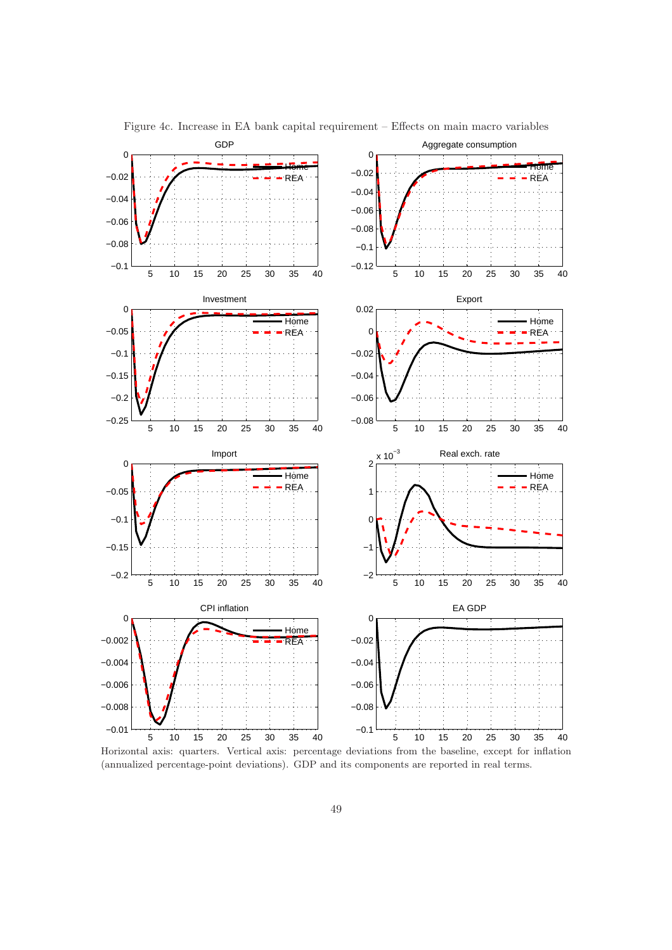

Figure 4c. Increase in EA bank capital requirement – Effects on main macro variables

Horizontal axis: quarters. Vertical axis: percentage deviations from the baseline, except for inflation (annualized percentage-point deviations). GDP and its components are reported in real terms.